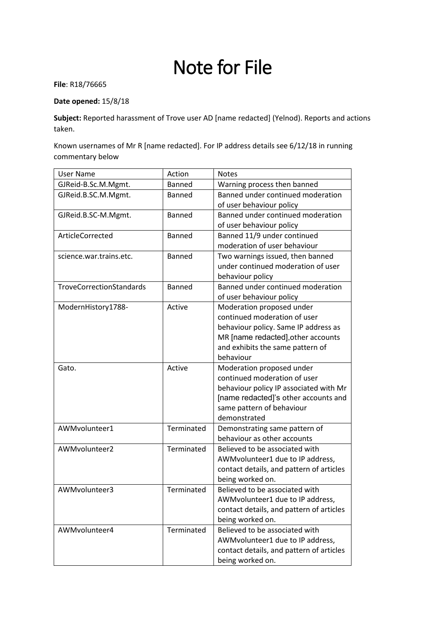# Note for File

**File**: R18/76665

### **Date opened:** 15/8/18

**Subject:** Reported harassment of Trove user AD [name redacted] (Yelnod). Reports and actions taken.

Known usernames of Mr R [name redacted]. For IP address details see 6/12/18 in running commentary below

| <b>User Name</b>         | Action        | <b>Notes</b>                             |
|--------------------------|---------------|------------------------------------------|
| GJReid-B.Sc.M.Mgmt.      | Banned        | Warning process then banned              |
| GJReid.B.SC.M.Mgmt.      | Banned        | Banned under continued moderation        |
|                          |               | of user behaviour policy                 |
| GJReid.B.SC-M.Mgmt.      | Banned        | Banned under continued moderation        |
|                          |               | of user behaviour policy                 |
| ArticleCorrected         | <b>Banned</b> | Banned 11/9 under continued              |
|                          |               | moderation of user behaviour             |
| science.war.trains.etc.  | Banned        | Two warnings issued, then banned         |
|                          |               | under continued moderation of user       |
|                          |               | behaviour policy                         |
| TroveCorrectionStandards | Banned        | Banned under continued moderation        |
|                          |               | of user behaviour policy                 |
| ModernHistory1788-       | Active        | Moderation proposed under                |
|                          |               | continued moderation of user             |
|                          |               | behaviour policy. Same IP address as     |
|                          |               | MR [name redacted], other accounts       |
|                          |               | and exhibits the same pattern of         |
|                          |               | behaviour                                |
| Gato.                    | Active        | Moderation proposed under                |
|                          |               | continued moderation of user             |
|                          |               | behaviour policy IP associated with Mr   |
|                          |               | [name redacted]'s other accounts and     |
|                          |               | same pattern of behaviour                |
|                          |               | demonstrated                             |
| AWMvolunteer1            | Terminated    | Demonstrating same pattern of            |
|                          |               | behaviour as other accounts              |
| AWMvolunteer2            | Terminated    | Believed to be associated with           |
|                          |               | AWMvolunteer1 due to IP address,         |
|                          |               | contact details, and pattern of articles |
|                          |               | being worked on.                         |
| AWMvolunteer3            | Terminated    | Believed to be associated with           |
|                          |               | AWMvolunteer1 due to IP address,         |
|                          |               | contact details, and pattern of articles |
|                          |               | being worked on.                         |
| AWMvolunteer4            | Terminated    | Believed to be associated with           |
|                          |               | AWMvolunteer1 due to IP address,         |
|                          |               | contact details, and pattern of articles |
|                          |               | being worked on.                         |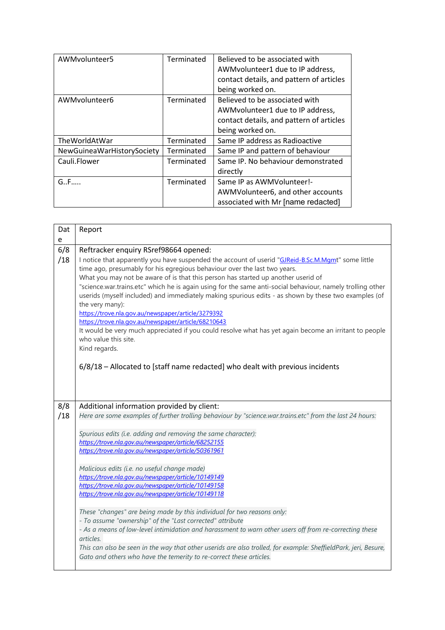| AWMvolunteer5              | Terminated | Believed to be associated with<br>AWMvolunteer1 due to IP address,<br>contact details, and pattern of articles<br>being worked on. |
|----------------------------|------------|------------------------------------------------------------------------------------------------------------------------------------|
| AWMvolunteer6              | Terminated | Believed to be associated with<br>AWMvolunteer1 due to IP address,<br>contact details, and pattern of articles<br>being worked on. |
| TheWorldAtWar              | Terminated | Same IP address as Radioactive                                                                                                     |
| NewGuineaWarHistorySociety | Terminated | Same IP and pattern of behaviour                                                                                                   |
| Cauli.Flower               | Terminated | Same IP. No behaviour demonstrated<br>directly                                                                                     |
| $G.F.$                     | Terminated | Same IP as AWMVolunteer!-<br>AWMVolunteer6, and other accounts<br>associated with Mr [name redacted]                               |

| Dat<br>е   | Report                                                                                                                                                                                                                                                                                                                                                                                                                                                                                                                                                                                                                                                                                                                                                                                                                                                                                                  |
|------------|---------------------------------------------------------------------------------------------------------------------------------------------------------------------------------------------------------------------------------------------------------------------------------------------------------------------------------------------------------------------------------------------------------------------------------------------------------------------------------------------------------------------------------------------------------------------------------------------------------------------------------------------------------------------------------------------------------------------------------------------------------------------------------------------------------------------------------------------------------------------------------------------------------|
| 6/8<br>/18 | Reftracker enquiry RSref98664 opened:<br>I notice that apparently you have suspended the account of userid "GJReid-B.Sc.M.Mgmt" some little<br>time ago, presumably for his egregious behaviour over the last two years.<br>What you may not be aware of is that this person has started up another userid of<br>"science.war.trains.etc" which he is again using for the same anti-social behaviour, namely trolling other<br>userids (myself included) and immediately making spurious edits - as shown by these two examples (of<br>the very many):<br>https://trove.nla.gov.au/newspaper/article/3279392<br>https://trove.nla.gov.au/newspaper/article/68210643<br>It would be very much appreciated if you could resolve what has yet again become an irritant to people<br>who value this site.<br>Kind regards.<br>6/8/18 - Allocated to [staff name redacted] who dealt with previous incidents |
| 8/8<br>/18 | Additional information provided by client:<br>Here are some examples of further trolling behaviour by "science.war.trains.etc" from the last 24 hours:<br>Spurious edits (i.e. adding and removing the same character):<br>https://trove.nla.gov.au/newspaper/article/68252155<br>https://trove.nla.gov.au/newspaper/article/50361961<br>Malicious edits (i.e. no useful change made)<br>https://trove.nla.gov.au/newspaper/article/10149149<br>https://trove.nla.gov.au/newspaper/article/10149158<br>https://trove.nla.gov.au/newspaper/article/10149118<br>These "changes" are being made by this individual for two reasons only:<br>- To assume "ownership" of the "Last corrected" attribute<br>- As a means of low-level intimidation and harassment to warn other users off from re-correcting these<br>articles.                                                                               |
|            | This can also be seen in the way that other userids are also trolled, for example: SheffieldPark, jeri, Besure,<br>Gato and others who have the temerity to re-correct these articles.                                                                                                                                                                                                                                                                                                                                                                                                                                                                                                                                                                                                                                                                                                                  |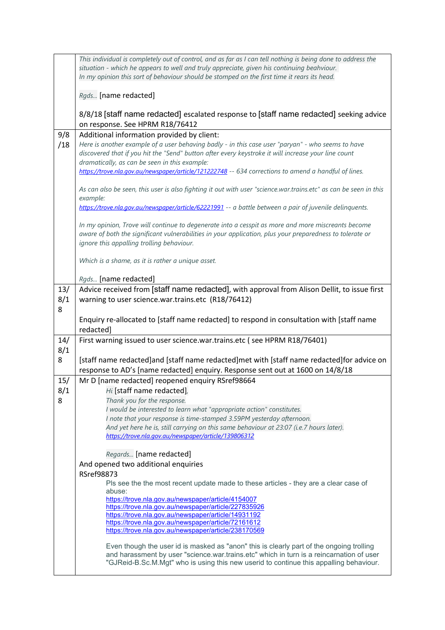|            | This individual is completely out of control, and as far as I can tell nothing is being done to address the<br>situation - which he appears to well and truly appreciate, given his continuing beahviour.                                                   |
|------------|-------------------------------------------------------------------------------------------------------------------------------------------------------------------------------------------------------------------------------------------------------------|
|            | In my opinion this sort of behaviour should be stomped on the first time it rears its head.                                                                                                                                                                 |
|            | Rgds [name redacted]                                                                                                                                                                                                                                        |
|            | 8/8/18 [staff name redacted] escalated response to [staff name redacted] seeking advice                                                                                                                                                                     |
| 9/8        | on response. See HPRM R18/76412<br>Additional information provided by client:                                                                                                                                                                               |
| /18        | Here is another example of a user behaving badly - in this case user "paryan" - who seems to have<br>discovered that if you hit the "Send" button after every keystroke it will increase your line count<br>dramatically, as can be seen in this example:   |
|            | https://trove.nla.gov.au/newspaper/article/121222748 -- 634 corrections to amend a handful of lines.                                                                                                                                                        |
|            | As can also be seen, this user is also fighting it out with user "science.war.trains.etc" as can be seen in this<br>example:                                                                                                                                |
|            | https://trove.nla.gov.au/newspaper/article/62221991 -- a battle between a pair of juvenile delinquents.                                                                                                                                                     |
|            | In my opinion, Trove will continue to degenerate into a cesspit as more and more miscreants become<br>aware of both the significant vulnerabilities in your application, plus your preparedness to tolerate or<br>ignore this appalling trolling behaviour. |
|            | Which is a shame, as it is rather a unique asset.                                                                                                                                                                                                           |
|            | Rgds [name redacted]                                                                                                                                                                                                                                        |
| 13/        | Advice received from [staff name redacted], with approval from Alison Dellit, to issue first                                                                                                                                                                |
| 8/1<br>8   | warning to user science.war.trains.etc (R18/76412)                                                                                                                                                                                                          |
|            | Enquiry re-allocated to [staff name redacted] to respond in consultation with [staff name<br>redacted]                                                                                                                                                      |
| 14/<br>8/1 | First warning issued to user science.war.trains.etc (see HPRM R18/76401)                                                                                                                                                                                    |
| 8          | [staff name redacted]and [staff name redacted]met with [staff name redacted]for advice on<br>response to AD's [name redacted] enquiry. Response sent out at 1600 on 14/8/18                                                                                 |
| 15/        | Mr D [name redacted] reopened enquiry RSref98664                                                                                                                                                                                                            |
| 8/1        | Hi [staff name redacted],                                                                                                                                                                                                                                   |
| 8          | Thank you for the response.                                                                                                                                                                                                                                 |
|            | I would be interested to learn what "appropriate action" constitutes.<br>I note that your response is time-stamped 3.59PM yesterday afternoon.                                                                                                              |
|            | And yet here he is, still carrying on this same behaviour at 23:07 (i.e.7 hours later).                                                                                                                                                                     |
|            | https://trove.nla.gov.au/newspaper/article/139806312                                                                                                                                                                                                        |
|            | Regards [name redacted]                                                                                                                                                                                                                                     |
|            | And opened two additional enquiries                                                                                                                                                                                                                         |
|            | <b>RSref98873</b>                                                                                                                                                                                                                                           |
|            | Pls see the the most recent update made to these articles - they are a clear case of<br>abuse:                                                                                                                                                              |
|            | https://trove.nla.gov.au/newspaper/article/4154007                                                                                                                                                                                                          |
|            | https://trove.nla.gov.au/newspaper/article/227835926                                                                                                                                                                                                        |
|            | https://trove.nla.gov.au/newspaper/article/14931192<br>https://trove.nla.gov.au/newspaper/article/72161612                                                                                                                                                  |
|            | https://trove.nla.gov.au/newspaper/article/238170569                                                                                                                                                                                                        |
|            | Even though the user id is masked as "anon" this is clearly part of the ongoing trolling<br>and harassment by user "science.war.trains.etc" which in turn is a reincarnation of user                                                                        |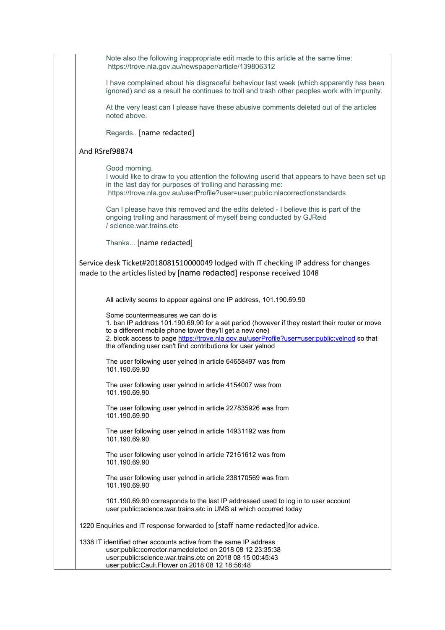| Note also the following inappropriate edit made to this article at the same time:<br>https://trove.nla.gov.au/newspaper/article/139806312                                                                                                                                                                                                                      |  |
|----------------------------------------------------------------------------------------------------------------------------------------------------------------------------------------------------------------------------------------------------------------------------------------------------------------------------------------------------------------|--|
| I have complained about his disgraceful behaviour last week (which apparently has been<br>ignored) and as a result he continues to troll and trash other peoples work with impunity.                                                                                                                                                                           |  |
| At the very least can I please have these abusive comments deleted out of the articles<br>noted above.                                                                                                                                                                                                                                                         |  |
| Regards [name redacted]                                                                                                                                                                                                                                                                                                                                        |  |
| And RSref98874                                                                                                                                                                                                                                                                                                                                                 |  |
| Good morning,<br>I would like to draw to you attention the following userid that appears to have been set up<br>in the last day for purposes of trolling and harassing me:<br>https://trove.nla.gov.au/userProfile?user=user:public:nlacorrectionstandards                                                                                                     |  |
| Can I please have this removed and the edits deleted - I believe this is part of the<br>ongoing trolling and harassment of myself being conducted by GJReid<br>/ science war trains etc.                                                                                                                                                                       |  |
| Thanks [name redacted]                                                                                                                                                                                                                                                                                                                                         |  |
| Service desk Ticket#2018081510000049 lodged with IT checking IP address for changes<br>made to the articles listed by [name redacted] response received 1048                                                                                                                                                                                                   |  |
| All activity seems to appear against one IP address, 101.190.69.90                                                                                                                                                                                                                                                                                             |  |
| Some countermeasures we can do is<br>1. ban IP address 101.190.69.90 for a set period (however if they restart their router or move<br>to a different mobile phone tower they'll get a new one)<br>2. block access to page https://trove.nla.gov.au/userProfile?user=user:public:yelnod so that<br>the offending user can't find contributions for user yelnod |  |
| The user following user yelnod in article 64658497 was from<br>101.190.69.90                                                                                                                                                                                                                                                                                   |  |
| The user following user yelnod in article 4154007 was from<br>101.190.69.90                                                                                                                                                                                                                                                                                    |  |
| The user following user yelnod in article 227835926 was from<br>101.190.69.90                                                                                                                                                                                                                                                                                  |  |
| The user following user yelnod in article 14931192 was from<br>101.190.69.90                                                                                                                                                                                                                                                                                   |  |
| The user following user yelnod in article 72161612 was from<br>101.190.69.90                                                                                                                                                                                                                                                                                   |  |
| The user following user yelnod in article 238170569 was from<br>101.190.69.90                                                                                                                                                                                                                                                                                  |  |
| 101.190.69.90 corresponds to the last IP addressed used to log in to user account<br>user:public:science.war.trains.etc in UMS at which occurred today                                                                                                                                                                                                         |  |
| 1220 Enquiries and IT response forwarded to [staff name redacted] for advice.                                                                                                                                                                                                                                                                                  |  |
| 1338 IT identified other accounts active from the same IP address<br>user:public:corrector.namedeleted on 2018 08 12 23:35:38<br>user:public:science.war.trains.etc on 2018 08 15 00:45:43<br>user:public:Cauli.Flower on 2018 08 12 18:56:48                                                                                                                  |  |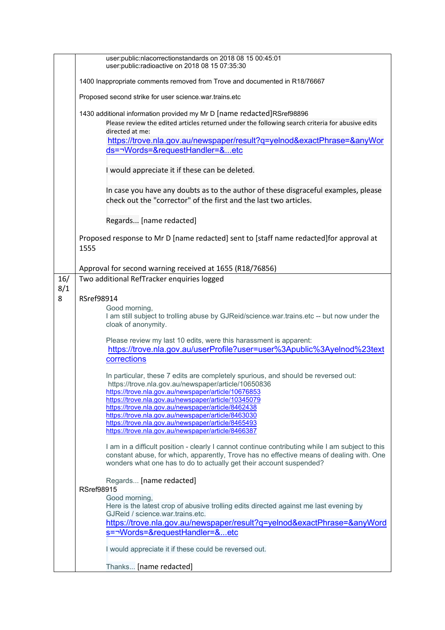|            | user:public:nlacorrectionstandards on 2018 08 15 00:45:01<br>user:public:radioactive on 2018 08 15 07:35:30                                                                                                                                                                                                                                                                                                                                                                    |  |  |
|------------|--------------------------------------------------------------------------------------------------------------------------------------------------------------------------------------------------------------------------------------------------------------------------------------------------------------------------------------------------------------------------------------------------------------------------------------------------------------------------------|--|--|
|            | 1400 Inappropriate comments removed from Trove and documented in R18/76667                                                                                                                                                                                                                                                                                                                                                                                                     |  |  |
|            | Proposed second strike for user science.war.trains.etc                                                                                                                                                                                                                                                                                                                                                                                                                         |  |  |
|            | 1430 additional information provided my Mr D [name redacted]RSref98896<br>Please review the edited articles returned under the following search criteria for abusive edits<br>directed at me:<br>https://trove.nla.gov.au/newspaper/result?q=yelnod&exactPhrase=&anyWor<br>ds=¬Words=&requestHandler=&etc                                                                                                                                                                      |  |  |
|            | I would appreciate it if these can be deleted.                                                                                                                                                                                                                                                                                                                                                                                                                                 |  |  |
|            | In case you have any doubts as to the author of these disgraceful examples, please<br>check out the "corrector" of the first and the last two articles.                                                                                                                                                                                                                                                                                                                        |  |  |
|            | Regards [name redacted]                                                                                                                                                                                                                                                                                                                                                                                                                                                        |  |  |
|            | Proposed response to Mr D [name redacted] sent to [staff name redacted]for approval at<br>1555                                                                                                                                                                                                                                                                                                                                                                                 |  |  |
|            | Approval for second warning received at 1655 (R18/76856)                                                                                                                                                                                                                                                                                                                                                                                                                       |  |  |
| 16/<br>8/1 | Two additional RefTracker enquiries logged                                                                                                                                                                                                                                                                                                                                                                                                                                     |  |  |
| 8          | RSref98914                                                                                                                                                                                                                                                                                                                                                                                                                                                                     |  |  |
|            | Good morning,<br>I am still subject to trolling abuse by GJReid/science.war.trains.etc -- but now under the<br>cloak of anonymity.                                                                                                                                                                                                                                                                                                                                             |  |  |
|            | Please review my last 10 edits, were this harassment is apparent:<br>https://trove.nla.gov.au/userProfile?user=user%3Apublic%3Ayelnod%23text<br>corrections                                                                                                                                                                                                                                                                                                                    |  |  |
|            | In particular, these 7 edits are completely spurious, and should be reversed out:<br>https://trove.nla.gov.au/newspaper/article/10650836<br>https://trove.nla.gov.au/newspaper/article/10676853<br>https://trove.nla.gov.au/newspaper/article/10345079<br>https://trove.nla.gov.au/newspaper/article/8462438<br>https://trove.nla.gov.au/newspaper/article/8463030<br>https://trove.nla.gov.au/newspaper/article/8465493<br>https://trove.nla.gov.au/newspaper/article/8466387 |  |  |
|            | I am in a difficult position - clearly I cannot continue contributing while I am subject to this<br>constant abuse, for which, apparently, Trove has no effective means of dealing with. One<br>wonders what one has to do to actually get their account suspended?                                                                                                                                                                                                            |  |  |
|            | Regards [name redacted]                                                                                                                                                                                                                                                                                                                                                                                                                                                        |  |  |
|            | <b>RSref98915</b><br>Good morning,                                                                                                                                                                                                                                                                                                                                                                                                                                             |  |  |
|            | Here is the latest crop of abusive trolling edits directed against me last evening by                                                                                                                                                                                                                                                                                                                                                                                          |  |  |
|            | GJReid / science.war.trains.etc.<br>https://trove.nla.gov.au/newspaper/result?q=yelnod&exactPhrase=&anyWord                                                                                                                                                                                                                                                                                                                                                                    |  |  |
|            | s=¬Words=&requestHandler=&etc                                                                                                                                                                                                                                                                                                                                                                                                                                                  |  |  |
|            | I would appreciate it if these could be reversed out.                                                                                                                                                                                                                                                                                                                                                                                                                          |  |  |
|            | Thanks [name redacted]                                                                                                                                                                                                                                                                                                                                                                                                                                                         |  |  |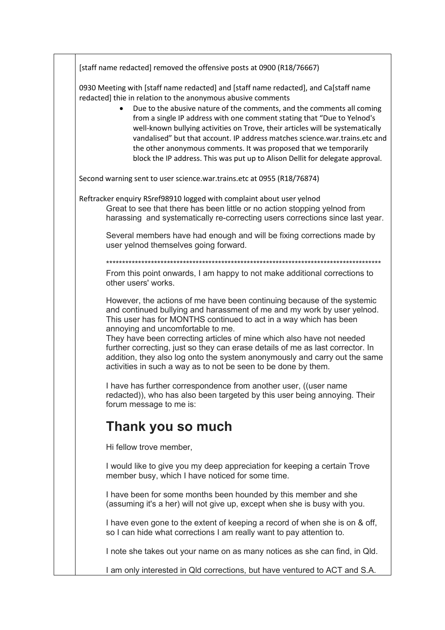[staff name redacted] removed the offensive posts at 0900 (R18/76667)

0930 Meeting with [staff name redacted] and [staff name redacted], and Ca[staff name redacted] thie in relation to the anonymous abusive comments

> • Due to the abusive nature of the comments, and the comments all coming from a single IP address with one comment stating that "Due to Yelnod's well-known bullying activities on Trove, their articles will be systematically vandalised" but that account. IP address matches science.war.trains.etc and the other anonymous comments. It was proposed that we temporarily block the IP address. This was put up to Alison Dellit for delegate approval.

Second warning sent to user science.war.trains.etc at 0955 (R18/76874)

Reftracker enquiry RSref98910 logged with complaint about user yelnod Great to see that there has been little or no action stopping yelnod from harassing and systematically re-correcting users corrections since last year.

Several members have had enough and will be fixing corrections made by user yelnod themselves going forward.

\*\*\*\*\*\*\*\*\*\*\*\*\*\*\*\*\*\*\*\*\*\*\*\*\*\*\*\*\*\*\*\*\*\*\*\*\*\*\*\*\*\*\*\*\*\*\*\*\*\*\*\*\*\*\*\*\*\*\*\*\*\*\*\*\*\*\*\*\*\*\*\*\*\*\*\*\*\*\*\*\*\*\*\*\*\*

From this point onwards, I am happy to not make additional corrections to other users' works.

However, the actions of me have been continuing because of the systemic and continued bullying and harassment of me and my work by user yelnod. This user has for MONTHS continued to act in a way which has been annoying and uncomfortable to me.

They have been correcting articles of mine which also have not needed further correcting, just so they can erase details of me as last corrector. In addition, they also log onto the system anonymously and carry out the same activities in such a way as to not be seen to be done by them.

I have has further correspondence from another user, ((user name redacted)), who has also been targeted by this user being annoying. Their forum message to me is:

# **Thank you so much**

Hi fellow trove member,

I would like to give you my deep appreciation for keeping a certain Trove member busy, which I have noticed for some time.

I have been for some months been hounded by this member and she (assuming it's a her) will not give up, except when she is busy with you.

I have even gone to the extent of keeping a record of when she is on & off, so I can hide what corrections I am really want to pay attention to.

I note she takes out your name on as many notices as she can find, in Qld.

I am only interested in Qld corrections, but have ventured to ACT and S.A.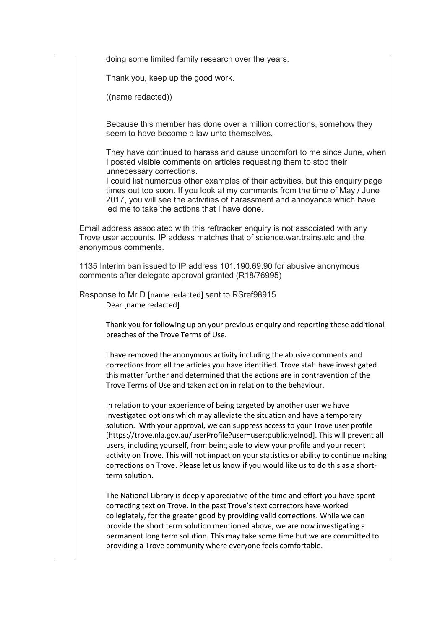doing some limited family research over the years. Thank you, keep up the good work. ((name redacted)) Because this member has done over a million corrections, somehow they seem to have become a law unto themselves. They have continued to harass and cause uncomfort to me since June, when I posted visible comments on articles requesting them to stop their unnecessary corrections. I could list numerous other examples of their activities, but this enquiry page times out too soon. If you look at my comments from the time of May / June 2017, you will see the activities of harassment and annoyance which have led me to take the actions that I have done. Email address associated with this reftracker enquiry is not associated with any Trove user accounts. IP addess matches that of science.war.trains.etc and the anonymous comments. 1135 Interim ban issued to IP address 101.190.69.90 for abusive anonymous comments after delegate approval granted (R18/76995) Response to Mr D [name redacted] sent to RSref98915 Dear [name redacted] Thank you for following up on your previous enquiry and reporting these additional breaches of the Trove Terms of Use. I have removed the anonymous activity including the abusive comments and corrections from all the articles you have identified. Trove staff have investigated this matter further and determined that the actions are in contravention of the Trove Terms of Use and taken action in relation to the behaviour. In relation to your experience of being targeted by another user we have investigated options which may alleviate the situation and have a temporary solution. With your approval, we can suppress access to your Trove user profile [https://trove.nla.gov.au/userProfile?user=user:public:yelnod]. This will prevent all users, including yourself, from being able to view your profile and your recent activity on Trove. This will not impact on your statistics or ability to continue making corrections on Trove. Please let us know if you would like us to do this as a shortterm solution. The National Library is deeply appreciative of the time and effort you have spent correcting text on Trove. In the past Trove's text correctors have worked collegiately, for the greater good by providing valid corrections. While we can provide the short term solution mentioned above, we are now investigating a permanent long term solution. This may take some time but we are committed to providing a Trove community where everyone feels comfortable.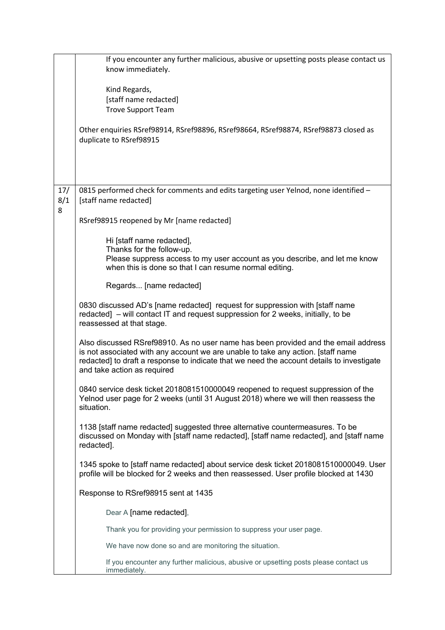|                 | If you encounter any further malicious, abusive or upsetting posts please contact us<br>know immediately.                                                                                                                                                                                          |
|-----------------|----------------------------------------------------------------------------------------------------------------------------------------------------------------------------------------------------------------------------------------------------------------------------------------------------|
|                 | Kind Regards,<br>[staff name redacted]<br><b>Trove Support Team</b>                                                                                                                                                                                                                                |
|                 | Other enquiries RSref98914, RSref98896, RSref98664, RSref98874, RSref98873 closed as<br>duplicate to RSref98915                                                                                                                                                                                    |
|                 |                                                                                                                                                                                                                                                                                                    |
| 17/<br>8/1<br>8 | 0815 performed check for comments and edits targeting user Yelnod, none identified -<br>[staff name redacted]                                                                                                                                                                                      |
|                 | RSref98915 reopened by Mr [name redacted]                                                                                                                                                                                                                                                          |
|                 | Hi [staff name redacted],                                                                                                                                                                                                                                                                          |
|                 | Thanks for the follow-up.<br>Please suppress access to my user account as you describe, and let me know<br>when this is done so that I can resume normal editing.                                                                                                                                  |
|                 | Regards [name redacted]                                                                                                                                                                                                                                                                            |
|                 | 0830 discussed AD's [name redacted] request for suppression with [staff name<br>redacted] – will contact IT and request suppression for 2 weeks, initially, to be<br>reassessed at that stage.                                                                                                     |
|                 | Also discussed RSref98910. As no user name has been provided and the email address<br>is not associated with any account we are unable to take any action. [staff name<br>redacted] to draft a response to indicate that we need the account details to investigate<br>and take action as required |
|                 | 0840 service desk ticket 2018081510000049 reopened to request suppression of the<br>Yelnod user page for 2 weeks (until 31 August 2018) where we will then reassess the<br>situation.                                                                                                              |
|                 | 1138 [staff name redacted] suggested three alternative countermeasures. To be<br>discussed on Monday with [staff name redacted], [staff name redacted], and [staff name<br>redacted].                                                                                                              |
|                 | 1345 spoke to [staff name redacted] about service desk ticket 2018081510000049. User<br>profile will be blocked for 2 weeks and then reassessed. User profile blocked at 1430                                                                                                                      |
|                 | Response to RSref98915 sent at 1435                                                                                                                                                                                                                                                                |
|                 | Dear A [name redacted],                                                                                                                                                                                                                                                                            |
|                 | Thank you for providing your permission to suppress your user page.                                                                                                                                                                                                                                |
|                 | We have now done so and are monitoring the situation.                                                                                                                                                                                                                                              |
|                 | If you encounter any further malicious, abusive or upsetting posts please contact us<br>immediately.                                                                                                                                                                                               |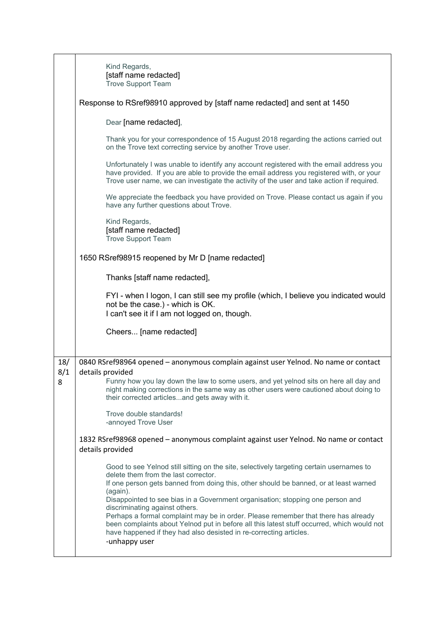|            | Kind Regards,<br>[staff name redacted]<br><b>Trove Support Team</b>                                                                                                                                                                                                                                                                                                                                                                                                                                                                                                                                                                  |
|------------|--------------------------------------------------------------------------------------------------------------------------------------------------------------------------------------------------------------------------------------------------------------------------------------------------------------------------------------------------------------------------------------------------------------------------------------------------------------------------------------------------------------------------------------------------------------------------------------------------------------------------------------|
|            | Response to RSref98910 approved by [staff name redacted] and sent at 1450                                                                                                                                                                                                                                                                                                                                                                                                                                                                                                                                                            |
|            | Dear [name redacted],                                                                                                                                                                                                                                                                                                                                                                                                                                                                                                                                                                                                                |
|            | Thank you for your correspondence of 15 August 2018 regarding the actions carried out<br>on the Trove text correcting service by another Trove user.                                                                                                                                                                                                                                                                                                                                                                                                                                                                                 |
|            | Unfortunately I was unable to identify any account registered with the email address you<br>have provided. If you are able to provide the email address you registered with, or your<br>Trove user name, we can investigate the activity of the user and take action if required.                                                                                                                                                                                                                                                                                                                                                    |
|            | We appreciate the feedback you have provided on Trove. Please contact us again if you<br>have any further questions about Trove.                                                                                                                                                                                                                                                                                                                                                                                                                                                                                                     |
|            | Kind Regards,<br>[staff name redacted]<br><b>Trove Support Team</b>                                                                                                                                                                                                                                                                                                                                                                                                                                                                                                                                                                  |
|            | 1650 RSref98915 reopened by Mr D [name redacted]                                                                                                                                                                                                                                                                                                                                                                                                                                                                                                                                                                                     |
|            | Thanks [staff name redacted],                                                                                                                                                                                                                                                                                                                                                                                                                                                                                                                                                                                                        |
|            | FYI - when I logon, I can still see my profile (which, I believe you indicated would<br>not be the case.) - which is OK.<br>I can't see it if I am not logged on, though.                                                                                                                                                                                                                                                                                                                                                                                                                                                            |
|            | Cheers [name redacted]                                                                                                                                                                                                                                                                                                                                                                                                                                                                                                                                                                                                               |
|            |                                                                                                                                                                                                                                                                                                                                                                                                                                                                                                                                                                                                                                      |
| 18/<br>8/1 | 0840 RSref98964 opened - anonymous complain against user Yelnod. No name or contact<br>details provided                                                                                                                                                                                                                                                                                                                                                                                                                                                                                                                              |
| 8          | Funny how you lay down the law to some users, and yet yelnod sits on here all day and<br>night making corrections in the same way as other users were cautioned about doing to<br>their corrected articlesand gets away with it.                                                                                                                                                                                                                                                                                                                                                                                                     |
|            | Trove double standards!<br>-annoyed Trove User                                                                                                                                                                                                                                                                                                                                                                                                                                                                                                                                                                                       |
|            | 1832 RSref98968 opened - anonymous complaint against user Yelnod. No name or contact<br>details provided                                                                                                                                                                                                                                                                                                                                                                                                                                                                                                                             |
|            | Good to see Yelnod still sitting on the site, selectively targeting certain usernames to<br>delete them from the last corrector.<br>If one person gets banned from doing this, other should be banned, or at least warned<br>(again).<br>Disappointed to see bias in a Government organisation; stopping one person and<br>discriminating against others.<br>Perhaps a formal complaint may be in order. Please remember that there has already<br>been complaints about Yelnod put in before all this latest stuff occurred, which would not<br>have happened if they had also desisted in re-correcting articles.<br>-unhappy user |
|            |                                                                                                                                                                                                                                                                                                                                                                                                                                                                                                                                                                                                                                      |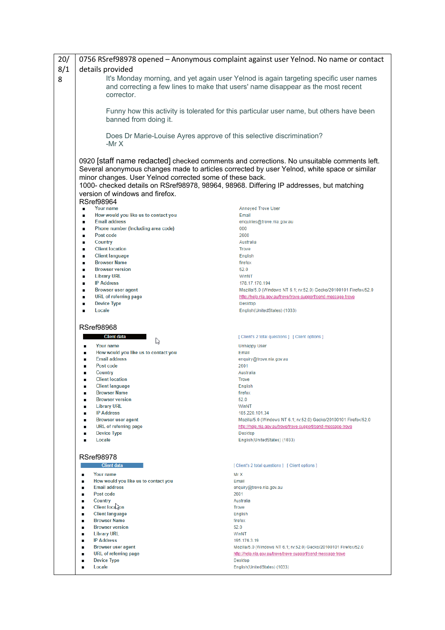| 20/ |                                                                                                                                                                                         | 0756 RSref98978 opened - Anonymous complaint against user Yelnod. No name or contact                                                                                                     |
|-----|-----------------------------------------------------------------------------------------------------------------------------------------------------------------------------------------|------------------------------------------------------------------------------------------------------------------------------------------------------------------------------------------|
| 8/1 | details provided                                                                                                                                                                        |                                                                                                                                                                                          |
| 8   | It's Monday morning, and yet again user Yelnod is again targeting specific user names<br>and correcting a few lines to make that users' name disappear as the most recent<br>corrector. |                                                                                                                                                                                          |
|     | banned from doing it.                                                                                                                                                                   | Funny how this activity is tolerated for this particular user name, but others have been                                                                                                 |
|     | Does Dr Marie-Louise Ayres approve of this selective discrimination?<br>-Mr $X$                                                                                                         |                                                                                                                                                                                          |
|     | minor changes. User Yelnod corrected some of these back.<br>1000- checked details on RSref98978, 98964, 98968. Differing IP addresses, but matching<br>version of windows and firefox.  | 0920 [staff name redacted] checked comments and corrections. No unsuitable comments left.<br>Several anonymous changes made to articles corrected by user Yelnod, white space or similar |
|     | <b>RSref98964</b><br>Your name                                                                                                                                                          | <b>Annoyed Trove User</b>                                                                                                                                                                |
|     | How would you like us to contact you                                                                                                                                                    | Email                                                                                                                                                                                    |
|     | <b>Email address</b><br>٠                                                                                                                                                               | enquiries@trove.nla.gov.au                                                                                                                                                               |
|     | Phone number (Including area code)<br>٠                                                                                                                                                 | 000                                                                                                                                                                                      |
|     | Post code<br>п                                                                                                                                                                          | 2600                                                                                                                                                                                     |
|     | Country<br>٠                                                                                                                                                                            | Australia                                                                                                                                                                                |
|     | <b>Client location</b><br>٠                                                                                                                                                             | <b>Trove</b>                                                                                                                                                                             |
|     | <b>Client language</b><br>٠<br><b>Browser Name</b><br>٠                                                                                                                                 | English<br>firefox                                                                                                                                                                       |
|     | <b>Browser version</b><br>٠                                                                                                                                                             | 52.0                                                                                                                                                                                     |
|     | <b>Library URL</b><br>$\blacksquare$                                                                                                                                                    | WinNT                                                                                                                                                                                    |
|     | <b>IP Address</b><br>$\blacksquare$                                                                                                                                                     | 178.17.170.194                                                                                                                                                                           |
|     | <b>Browser user agent</b><br>٠                                                                                                                                                          | Mozilla/5.0 (Windows NT 6.1; rv:52.0) Gecko/20100101 Firefox/52.0                                                                                                                        |
|     | <b>URL</b> of referring page                                                                                                                                                            | http://help.nla.gov.au/trove/trove-support/send-message-trove                                                                                                                            |
|     | <b>Device Type</b>                                                                                                                                                                      | Desktop                                                                                                                                                                                  |
|     | Locale                                                                                                                                                                                  | English(UnitedStates) (1033)                                                                                                                                                             |
|     |                                                                                                                                                                                         |                                                                                                                                                                                          |
|     | <b>RSref98968</b>                                                                                                                                                                       |                                                                                                                                                                                          |
|     | <b>Client data</b><br>ß                                                                                                                                                                 | [Client's 2 total questions ] [Client options ]                                                                                                                                          |
|     | Your name<br>п                                                                                                                                                                          | <b>Unhappy User</b>                                                                                                                                                                      |
|     | How would you like us to contact you<br>$\blacksquare$                                                                                                                                  | Email                                                                                                                                                                                    |
|     | <b>Email address</b><br>n<br>Post code<br>n                                                                                                                                             | enquiry@trove.nla.gov.au<br>2601                                                                                                                                                         |
|     | Country                                                                                                                                                                                 | Australia                                                                                                                                                                                |
|     | <b>Client location</b>                                                                                                                                                                  | <b>Trove</b>                                                                                                                                                                             |
|     | <b>Client language</b>                                                                                                                                                                  | English                                                                                                                                                                                  |
|     | <b>Browser Name</b><br>$\blacksquare$                                                                                                                                                   | firefox                                                                                                                                                                                  |
|     | <b>Browser version</b><br>■                                                                                                                                                             | 52.0                                                                                                                                                                                     |
|     | <b>Library URL</b><br>٠                                                                                                                                                                 | WinNT                                                                                                                                                                                    |
|     | <b>IP Address</b><br>п<br><b>Browser user agent</b>                                                                                                                                     | 185.220.101.34                                                                                                                                                                           |
|     | ٠<br>URL of referring page                                                                                                                                                              | Mozilla/5.0 (Windows NT 6.1; rv:52.0) Gecko/20100101 Firefox/52.0<br>http://help.nla.gov.au/trove/trove-support/send-message-trove                                                       |
|     | <b>Device Type</b>                                                                                                                                                                      | Desktop                                                                                                                                                                                  |
|     | Locale                                                                                                                                                                                  | English(UnitedStates) (1033)                                                                                                                                                             |
|     |                                                                                                                                                                                         |                                                                                                                                                                                          |
|     | <b>RSref98978</b>                                                                                                                                                                       |                                                                                                                                                                                          |
|     | <b>Client data</b>                                                                                                                                                                      | [Client's 2 total questions ] [Client options ]                                                                                                                                          |
|     | Your name<br>п                                                                                                                                                                          | Mr X                                                                                                                                                                                     |
|     | How would you like us to contact you<br>п                                                                                                                                               | Email                                                                                                                                                                                    |
|     | <b>Email address</b>                                                                                                                                                                    | enquiry@trove.nla.gov.au                                                                                                                                                                 |
|     | Post code                                                                                                                                                                               | 2601                                                                                                                                                                                     |
|     | Country                                                                                                                                                                                 | Australia                                                                                                                                                                                |
|     | Client loca <sub>tion</sub>                                                                                                                                                             | <b>Trove</b>                                                                                                                                                                             |
|     | <b>Client language</b><br><b>Browser Name</b>                                                                                                                                           | English<br>firefox                                                                                                                                                                       |
|     | <b>Browser version</b>                                                                                                                                                                  | 52.0                                                                                                                                                                                     |
|     | <b>Library URL</b>                                                                                                                                                                      | WinNT                                                                                                                                                                                    |
|     | <b>IP Address</b>                                                                                                                                                                       | 195.176.3.19                                                                                                                                                                             |
|     | <b>Browser user agent</b>                                                                                                                                                               | Mozilla/5.0 (Windows NT 6.1; rv:52.0) Gecko/20100101 Firefox/52.0                                                                                                                        |
|     | URL of referring page                                                                                                                                                                   | http://help.nla.gov.au/trove/trove-support/send-message-trove                                                                                                                            |
|     | <b>Device Type</b>                                                                                                                                                                      | Desktop                                                                                                                                                                                  |
|     | Locale                                                                                                                                                                                  | English(UnitedStates) (1033)                                                                                                                                                             |
|     |                                                                                                                                                                                         |                                                                                                                                                                                          |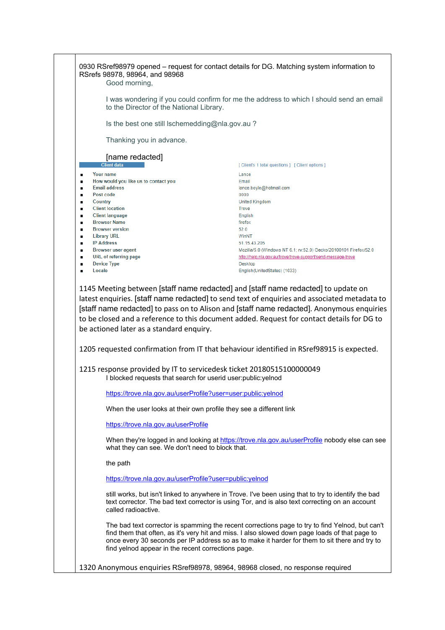| RSrefs 98978, 98964, and 98968<br>Good morning,                                                                                      | 0930 RSref98979 opened – request for contact details for DG. Matching system information to                                                                                                                                                                                                        |  |
|--------------------------------------------------------------------------------------------------------------------------------------|----------------------------------------------------------------------------------------------------------------------------------------------------------------------------------------------------------------------------------------------------------------------------------------------------|--|
|                                                                                                                                      | I was wondering if you could confirm for me the address to which I should send an email<br>to the Director of the National Library.                                                                                                                                                                |  |
| Is the best one still Ischemedding@nla.gov.au?                                                                                       |                                                                                                                                                                                                                                                                                                    |  |
| Thanking you in advance.                                                                                                             |                                                                                                                                                                                                                                                                                                    |  |
| [name redacted]                                                                                                                      |                                                                                                                                                                                                                                                                                                    |  |
| <b>Client data</b>                                                                                                                   | [Client's 1 total questions ] [Client options ]                                                                                                                                                                                                                                                    |  |
| <b>Your name</b><br>$\blacksquare$                                                                                                   | Lance                                                                                                                                                                                                                                                                                              |  |
| How would you like us to contact you<br>$\blacksquare$<br><b>Email address</b>                                                       | Email                                                                                                                                                                                                                                                                                              |  |
| $\blacksquare$<br>Post code<br>$\blacksquare$                                                                                        | lance.boyle@hotmail.com<br>0000                                                                                                                                                                                                                                                                    |  |
| Country<br>$\blacksquare$                                                                                                            | <b>United Kingdom</b>                                                                                                                                                                                                                                                                              |  |
| <b>Client location</b><br>$\blacksquare$                                                                                             | <b>Trove</b>                                                                                                                                                                                                                                                                                       |  |
| <b>Client language</b><br>$\blacksquare$                                                                                             | English                                                                                                                                                                                                                                                                                            |  |
| <b>Browser Name</b><br>$\blacksquare$                                                                                                | firefox                                                                                                                                                                                                                                                                                            |  |
| <b>Browser version</b><br>$\blacksquare$                                                                                             | 52.0                                                                                                                                                                                                                                                                                               |  |
| <b>Library URL</b><br>٠                                                                                                              | WinNT                                                                                                                                                                                                                                                                                              |  |
| <b>IP Address</b><br>٠                                                                                                               | 51.15.43.205                                                                                                                                                                                                                                                                                       |  |
| <b>Browser user agent</b><br>٠<br>URL of referring page<br>$\blacksquare$                                                            | Mozilla/5.0 (Windows NT 6.1; rv:52.0) Gecko/20100101 Firefox/52.0<br>http://help.nla.gov.au/trove/trove-support/send-message-trove                                                                                                                                                                 |  |
| <b>Device Type</b><br>$\blacksquare$                                                                                                 | <b>Desktop</b>                                                                                                                                                                                                                                                                                     |  |
| Locale<br>$\blacksquare$                                                                                                             | English(UnitedStates) (1033)                                                                                                                                                                                                                                                                       |  |
| be actioned later as a standard enquiry.<br>1205 requested confirmation from IT that behaviour identified in RSref98915 is expected. |                                                                                                                                                                                                                                                                                                    |  |
| 1215 response provided by IT to servicedesk ticket 20180515100000049<br>I blocked requests that search for userid user:public:yelnod |                                                                                                                                                                                                                                                                                                    |  |
| https://trove.nla.gov.au/userProfile?user=user:public:yelnod                                                                         |                                                                                                                                                                                                                                                                                                    |  |
| When the user looks at their own profile they see a different link                                                                   |                                                                                                                                                                                                                                                                                                    |  |
|                                                                                                                                      |                                                                                                                                                                                                                                                                                                    |  |
| https://trove.nla.gov.au/userProfile                                                                                                 |                                                                                                                                                                                                                                                                                                    |  |
| what they can see. We don't need to block that.                                                                                      | When they're logged in and looking at https://trove.nla.gov.au/userProfile nobody else can see                                                                                                                                                                                                     |  |
| the path                                                                                                                             |                                                                                                                                                                                                                                                                                                    |  |
| https://trove.nla.gov.au/userProfile?user=public:yelnod                                                                              |                                                                                                                                                                                                                                                                                                    |  |
| called radioactive.                                                                                                                  | still works, but isn't linked to anywhere in Trove. I've been using that to try to identify the bad<br>text corrector. The bad text corrector is using Tor, and is also text correcting on an account                                                                                              |  |
| find yelnod appear in the recent corrections page.                                                                                   | The bad text corrector is spamming the recent corrections page to try to find Yelnod, but can't<br>find them that often, as it's very hit and miss. I also slowed down page loads of that page to<br>once every 30 seconds per IP address so as to make it harder for them to sit there and try to |  |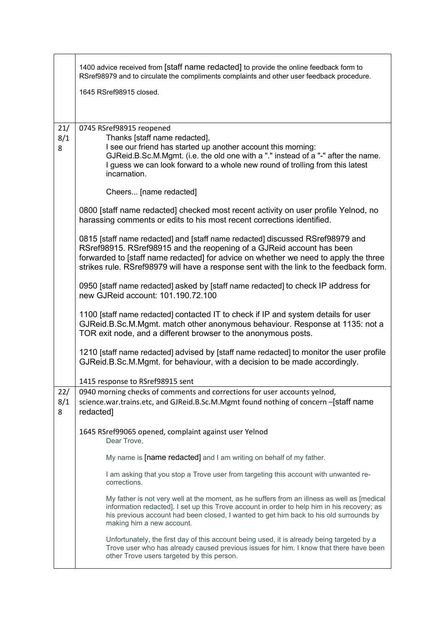|                 | 1400 advice received from [staff name redacted] to provide the online feedback form to<br>RSref98979 and to circulate the compliments complaints and other user feedback procedure.                                                                                                                                                        |
|-----------------|--------------------------------------------------------------------------------------------------------------------------------------------------------------------------------------------------------------------------------------------------------------------------------------------------------------------------------------------|
|                 | 1645 RSref98915 closed.                                                                                                                                                                                                                                                                                                                    |
| 21/<br>8/1<br>8 | 0745 RSref98915 reopened<br>Thanks [staff name redacted],<br>I see our friend has started up another account this morning:<br>GJReid.B.Sc.M.Mgmt. (i.e. the old one with a "." instead of a "-" after the name.<br>I guess we can look forward to a whole new round of trolling from this latest<br>incarnation.<br>Cheers [name redacted] |
|                 | 0800 [staff name redacted] checked most recent activity on user profile Yelnod, no                                                                                                                                                                                                                                                         |
|                 | harassing comments or edits to his most recent corrections identified.                                                                                                                                                                                                                                                                     |
|                 | 0815 [staff name redacted] and [staff name redacted] discussed RSref98979 and<br>RSref98915. RSref98915 and the reopening of a GJReid account has been<br>forwarded to [staff name redacted] for advice on whether we need to apply the three<br>strikes rule. RSref98979 will have a response sent with the link to the feedback form.    |
|                 | 0950 [staff name redacted] asked by [staff name redacted] to check IP address for<br>new GJReid account: 101.190.72.100                                                                                                                                                                                                                    |
|                 | 1100 [staff name redacted] contacted IT to check if IP and system details for user<br>GJReid.B.Sc.M.Mgmt. match other anonymous behaviour. Response at 1135: not a<br>TOR exit node, and a different browser to the anonymous posts.                                                                                                       |
|                 | 1210 [staff name redacted] advised by [staff name redacted] to monitor the user profile<br>GJReid.B.Sc.M.Mgmt. for behaviour, with a decision to be made accordingly.                                                                                                                                                                      |
|                 | 1415 response to RSref98915 sent                                                                                                                                                                                                                                                                                                           |
| 22/<br>8/1<br>8 | 0940 morning checks of comments and corrections for user accounts yelnod,<br>science.war.trains.etc, and GJReid.B.Sc.M.Mgmt found nothing of concern - [staff name<br>redacted]                                                                                                                                                            |
|                 | 1645 RSref99065 opened, complaint against user Yelnod<br>Dear Trove,                                                                                                                                                                                                                                                                       |
|                 | My name is [name redacted] and I am writing on behalf of my father.                                                                                                                                                                                                                                                                        |
|                 | I am asking that you stop a Trove user from targeting this account with unwanted re-<br>corrections.                                                                                                                                                                                                                                       |
|                 | My father is not very well at the moment, as he suffers from an illness as well as [medical<br>information redacted]. I set up this Trove account in order to help him in his recovery; as<br>his previous account had been closed, I wanted to get him back to his old surrounds by<br>making him a new account.                          |
|                 | Unfortunately, the first day of this account being used, it is already being targeted by a<br>Trove user who has already caused previous issues for him. I know that there have been<br>other Trove users targeted by this person.                                                                                                         |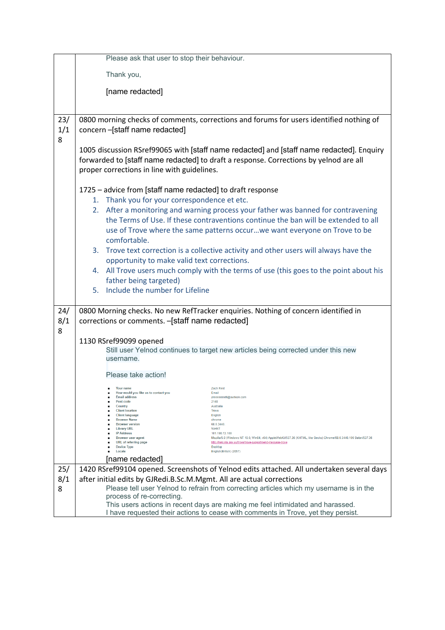|            | Please ask that user to stop their behaviour.                                                                                                                                                                                                                                                                                                                                                                                                                                                                                                                                                                                                                                       |  |  |
|------------|-------------------------------------------------------------------------------------------------------------------------------------------------------------------------------------------------------------------------------------------------------------------------------------------------------------------------------------------------------------------------------------------------------------------------------------------------------------------------------------------------------------------------------------------------------------------------------------------------------------------------------------------------------------------------------------|--|--|
|            | Thank you,                                                                                                                                                                                                                                                                                                                                                                                                                                                                                                                                                                                                                                                                          |  |  |
|            | [name redacted]                                                                                                                                                                                                                                                                                                                                                                                                                                                                                                                                                                                                                                                                     |  |  |
|            |                                                                                                                                                                                                                                                                                                                                                                                                                                                                                                                                                                                                                                                                                     |  |  |
|            |                                                                                                                                                                                                                                                                                                                                                                                                                                                                                                                                                                                                                                                                                     |  |  |
| 23/<br>1/1 | 0800 morning checks of comments, corrections and forums for users identified nothing of<br>concern-[staff name redacted]                                                                                                                                                                                                                                                                                                                                                                                                                                                                                                                                                            |  |  |
| 8          | 1005 discussion RSref99065 with [staff name redacted] and [staff name redacted]. Enquiry<br>forwarded to [staff name redacted] to draft a response. Corrections by yelnod are all<br>proper corrections in line with guidelines.                                                                                                                                                                                                                                                                                                                                                                                                                                                    |  |  |
|            | 1725 - advice from [staff name redacted] to draft response<br>1. Thank you for your correspondence et etc.                                                                                                                                                                                                                                                                                                                                                                                                                                                                                                                                                                          |  |  |
|            | 2. After a monitoring and warning process your father was banned for contravening<br>the Terms of Use. If these contraventions continue the ban will be extended to all<br>use of Trove where the same patterns occur we want everyone on Trove to be<br>comfortable.                                                                                                                                                                                                                                                                                                                                                                                                               |  |  |
|            | 3. Trove text correction is a collective activity and other users will always have the                                                                                                                                                                                                                                                                                                                                                                                                                                                                                                                                                                                              |  |  |
|            | opportunity to make valid text corrections.<br>4. All Trove users much comply with the terms of use (this goes to the point about his                                                                                                                                                                                                                                                                                                                                                                                                                                                                                                                                               |  |  |
|            | father being targeted)                                                                                                                                                                                                                                                                                                                                                                                                                                                                                                                                                                                                                                                              |  |  |
|            | 5. Include the number for Lifeline                                                                                                                                                                                                                                                                                                                                                                                                                                                                                                                                                                                                                                                  |  |  |
|            |                                                                                                                                                                                                                                                                                                                                                                                                                                                                                                                                                                                                                                                                                     |  |  |
| 24/<br>8/1 | 0800 Morning checks. No new RefTracker enquiries. Nothing of concern identified in<br>corrections or comments. -[staff name redacted]                                                                                                                                                                                                                                                                                                                                                                                                                                                                                                                                               |  |  |
| 8          | 1130 RSref99099 opened                                                                                                                                                                                                                                                                                                                                                                                                                                                                                                                                                                                                                                                              |  |  |
|            | Still user Yelnod continues to target new articles being corrected under this new                                                                                                                                                                                                                                                                                                                                                                                                                                                                                                                                                                                                   |  |  |
|            | username.                                                                                                                                                                                                                                                                                                                                                                                                                                                                                                                                                                                                                                                                           |  |  |
|            | Please take action!                                                                                                                                                                                                                                                                                                                                                                                                                                                                                                                                                                                                                                                                 |  |  |
|            | Your name<br>Zach Reid<br>How would you like us to contact you<br>Email<br><b>Email address</b><br>zreeeeeeid6@outlook.com<br>Post code<br>2148<br>Country<br>Australia<br><b>Client location</b><br>Trove<br><b>Client language</b><br>English<br><b>Browser Name</b><br>chrome<br><b>Browser version</b><br>68.0.3440<br><b>Library URL</b><br>WinNT<br><b>IP Address</b><br>101.190.72.100<br><b>Browser</b> user agent<br>Mozilla/5.0 (Windows NT 10.0; Win64; x64) AppleWebKit/537.36 (KHTML, like Gecko) Chrome/68.0.3440.106 Safari/537.36<br>URL of referring page<br>http://help.nla.gov.au/trove/trove-support/send-message-trove<br><b>Device Type</b><br><b>Desktop</b> |  |  |
|            | English(British) (2057)<br>Locale<br>[name redacted]                                                                                                                                                                                                                                                                                                                                                                                                                                                                                                                                                                                                                                |  |  |
| 25/        | 1420 RSref99104 opened. Screenshots of Yelnod edits attached. All undertaken several days                                                                                                                                                                                                                                                                                                                                                                                                                                                                                                                                                                                           |  |  |
| 8/1        | after initial edits by GJRedi.B.Sc.M.Mgmt. All are actual corrections                                                                                                                                                                                                                                                                                                                                                                                                                                                                                                                                                                                                               |  |  |
| 8          | Please tell user Yelnod to refrain from correcting articles which my username is in the                                                                                                                                                                                                                                                                                                                                                                                                                                                                                                                                                                                             |  |  |
|            | process of re-correcting.                                                                                                                                                                                                                                                                                                                                                                                                                                                                                                                                                                                                                                                           |  |  |
|            | This users actions in recent days are making me feel intimidated and harassed.<br>I have requested their actions to cease with comments in Trove, yet they persist.                                                                                                                                                                                                                                                                                                                                                                                                                                                                                                                 |  |  |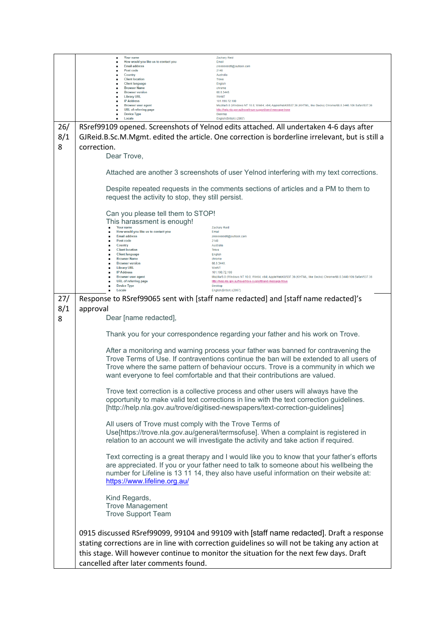|     | Your name<br>How would you like us to contact you         | <b>Zachary Reid</b><br>Email                                                                                                                                                                                                                                                         |
|-----|-----------------------------------------------------------|--------------------------------------------------------------------------------------------------------------------------------------------------------------------------------------------------------------------------------------------------------------------------------------|
|     | <b>Email address</b><br>Post code                         | zreeeeeeid6@outlook.com<br>2148                                                                                                                                                                                                                                                      |
|     | Country<br><b>Client location</b>                         | Australia<br><b>Trove</b>                                                                                                                                                                                                                                                            |
|     | <b>Client language</b><br><b>Browser Name</b>             | English<br>chrome                                                                                                                                                                                                                                                                    |
|     | <b>Browser version</b><br><b>Library URL</b>              | 68.0.3440<br>WinNT                                                                                                                                                                                                                                                                   |
|     | <b>IP Address</b><br><b>Browser</b> user agent            | 101.190.72.100<br>Mozilla/5.0 (Windows NT 10.0; Win64; x64) AppleWebKit/537.36 (KHTML, like Gecko) Chrome/68.0.3440.106 Safari/537.36                                                                                                                                                |
|     | <b>URL</b> of referring page                              | http://help.nla.gov.au/trove/trove-support/send-message-trove<br><b>Desktop</b>                                                                                                                                                                                                      |
|     | <b>Device Type</b><br>Locale                              | English(British) (2057)                                                                                                                                                                                                                                                              |
| 26/ |                                                           | RSref99109 opened. Screenshots of Yelnod edits attached. All undertaken 4-6 days after                                                                                                                                                                                               |
| 8/1 |                                                           | GJReid.B.Sc.M.Mgmt. edited the article. One correction is borderline irrelevant, but is still a                                                                                                                                                                                      |
| 8   | correction.                                               |                                                                                                                                                                                                                                                                                      |
|     | Dear Trove,                                               |                                                                                                                                                                                                                                                                                      |
|     |                                                           |                                                                                                                                                                                                                                                                                      |
|     |                                                           | Attached are another 3 screenshots of user Yelnod interfering with my text corrections.                                                                                                                                                                                              |
|     | request the activity to stop, they still persist.         | Despite repeated requests in the comments sections of articles and a PM to them to                                                                                                                                                                                                   |
|     | Can you please tell them to STOP!                         |                                                                                                                                                                                                                                                                                      |
|     | This harassment is enough!                                |                                                                                                                                                                                                                                                                                      |
|     | Your name<br>How would you like us to contact you         | <b>Zachary Reid</b><br>Email                                                                                                                                                                                                                                                         |
|     | <b>Email address</b><br>Post code                         | zreeeeeeid6@outlook.com                                                                                                                                                                                                                                                              |
|     | Country                                                   | 2148<br>Australia                                                                                                                                                                                                                                                                    |
|     | <b>Client location</b><br><b>Client language</b>          | <b>Trove</b><br>English                                                                                                                                                                                                                                                              |
|     | <b>Browser Name</b><br><b>Browser version</b>             | chrome<br>68.0.3440                                                                                                                                                                                                                                                                  |
|     | <b>Library URL</b><br><b>IP Address</b>                   | WinNT<br>101.190.72.100                                                                                                                                                                                                                                                              |
|     | <b>Browser user agent</b><br><b>URL</b> of referring page | Mozilla/5.0 (Windows NT 10.0; Win64; x64) AppleWebKit/537.36 (KHTML, like Gecko) Chrome/68.0.3440.106 Safari/537.36<br>http://help.nla.gov.au/trove/trove-support/send-message-trove                                                                                                 |
|     | <b>Device Type</b><br>Locale                              | <b>Desktop</b><br>English(British) (2057)                                                                                                                                                                                                                                            |
| 27/ |                                                           | Response to RSref99065 sent with [staff name redacted] and [staff name redacted]'s                                                                                                                                                                                                   |
|     |                                                           |                                                                                                                                                                                                                                                                                      |
| 8/1 | approval                                                  |                                                                                                                                                                                                                                                                                      |
| 8   | Dear [name redacted],                                     |                                                                                                                                                                                                                                                                                      |
|     |                                                           | Thank you for your correspondence regarding your father and his work on Trove.                                                                                                                                                                                                       |
|     |                                                           | After a monitoring and warning process your father was banned for contravening the<br>Trove Terms of Use. If contraventions continue the ban will be extended to all users of<br>Trove where the same pattern of behaviour occurs. Trove is a community in which we                  |
|     |                                                           | want everyone to feel comfortable and that their contributions are valued.                                                                                                                                                                                                           |
|     |                                                           | Trove text correction is a collective process and other users will always have the<br>opportunity to make valid text corrections in line with the text correction guidelines.<br>[http://help.nla.gov.au/trove/digitised-newspapers/text-correction-guidelines]                      |
|     |                                                           |                                                                                                                                                                                                                                                                                      |
|     | All users of Trove must comply with the Trove Terms of    | Use[https://trove.nla.gov.au/general/termsofuse]. When a complaint is registered in                                                                                                                                                                                                  |
|     |                                                           | relation to an account we will investigate the activity and take action if required.                                                                                                                                                                                                 |
|     | https://www.lifeline.org.au/                              | Text correcting is a great therapy and I would like you to know that your father's efforts<br>are appreciated. If you or your father need to talk to someone about his wellbeing the<br>number for Lifeline is 13 11 14, they also have useful information on their website at:      |
|     | Kind Regards,                                             |                                                                                                                                                                                                                                                                                      |
|     | <b>Trove Management</b><br><b>Trove Support Team</b>      |                                                                                                                                                                                                                                                                                      |
|     |                                                           |                                                                                                                                                                                                                                                                                      |
|     |                                                           | 0915 discussed RSref99099, 99104 and 99109 with [staff name redacted]. Draft a response<br>stating corrections are in line with correction guidelines so will not be taking any action at<br>this stage. Will however continue to monitor the situation for the next few days. Draft |
|     | cancelled after later comments found.                     |                                                                                                                                                                                                                                                                                      |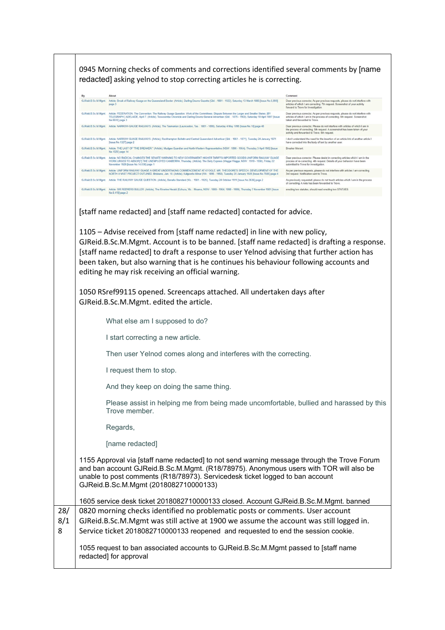0945 Morning checks of comments and corrections identified several comments by [name redacted] asking yelnod to stop correcting articles he is correcting.

| By                  | About                                                                                                                                                                                                                                                                                                                   | Comment                                                                                                                                                                                                         |
|---------------------|-------------------------------------------------------------------------------------------------------------------------------------------------------------------------------------------------------------------------------------------------------------------------------------------------------------------------|-----------------------------------------------------------------------------------------------------------------------------------------------------------------------------------------------------------------|
| GJReid B.Sc.M.Mamt. | Article: Break of Railway Guage on the Queensland Border. (Article), Darling Downs Gazette (Qld.: 1881 - 1922), Saturday 13 March 1886 [Issue No.5.899]<br>page 3                                                                                                                                                       | Dear previous corrector, As per previous requests, please do not interfere with<br>articles of which I am correcting. 7th request. Screenshot of your activity<br>forward to Trove for investigation.           |
| GJReid B.Sc.M.Mamt. | Article: FEDERATION. The Convention. The Railway Guage Question. Work of the Committees. Dispute Between the Larger and Smaller States. [BY<br>TELEGRAPH.] ADELAIDE, April 7. (Article), Toowoomba Chronicle and Darling Downs General Advertiser (Qld.: 1875 - 1902), Saturday 10 April 1897 [Issue<br>No.5510] page 3 | Dear previous corrector, As per previous requests, please do not interfere with<br>articles of which I am in the process of correcting. 6th request. Screenshot<br>taken and forwarded to Trove                 |
| GJReld B.Sc.M.Mamt. | Article: NARROW-GAUGE RAILWAYS. (Article), The Tasmanian (Launceston, Tas.: 1881 - 1895), Saturday 4 May 1895 [Issue No.18] page 48                                                                                                                                                                                     | Dear previous corrector, Please do not interfere with articles of which I am in<br>the process of correcting. 5th request. A screenshot has been taken of your<br>activity and forwarded to Trove. 5th request. |
| GJReid B.Sc.M.Mamt. | Article: NARROW GUAGE RAILWAYS. (Article), Rockhampton Bulletin and Central Queensland Advertiser (Qld.: 1861 - 1871), Tuesday 24 January 1871<br>[Issue No.1327] page 2                                                                                                                                                | I don't understand the need for the insertion of an article link of another article I<br>have corrected into the body of text by another user.                                                                  |
| GJReid B.Sc M.Mamt. | Article: THE LAST OF "THE BREAKER." (Article). Mudgee Guardian and North-Western Representative (NSW: 1890 - 1954). Thursday 3 April 1902 Ilssue<br>No.1020] page 14                                                                                                                                                    | Breaker Morant                                                                                                                                                                                                  |
| GJReid B.Sc.M.Mamt. | Article: NO RADICAL CHANGES THE SENATE WARNING TO NEW GOVERNMENT HIGHER TARIFFS IMPORTED GOODS UNIFORM RAILWAY GUAGE<br>WORK URGED TO ABSOR(?) THE UNEMPLOYED CANBERRA, Thursday, (Article), The Daily Express (Wagga Wagga, NSW: 1919 - 1930), Friday 22<br>November 1929 [Issue No.14,030] page 1                     | Dear previous corrector. Please desist in correcting articles which I am in the<br>process of re-correcting. 4th request. Details of your behaviorr have been<br>submitted to Trove for investigation.          |
| GJReid B Sc M Mamt  | Article: UNIFORM RAILWAY GUAGE A GREAT UNDERTAKING COMMENCEMENT AT KYOGLE. MR. THEODORE'S SPEECH. DEVELOPMENT OF THE<br>NORTH A VAST PROJECT OUTLINED. Brisbane, Jan. 18. (Article), Kalgoorlie Miner (WA: 1895 - 1950), Tuesday 20 January 1925 [Issue No. 7885] page 4                                                | As per previous requests, please do not interfere with articles I am correcting.<br>3rd request. Notification sent to Trove.                                                                                    |
| GJReid B.Sc.M.Mamt. | Article: THE RAILWAY GAUGE QUESTION. (Article). Benalla Standard (Vic.: 1901 - 1925). Tuesday 24 October 1911 [Issue No.3636] page 2                                                                                                                                                                                    | As previously requested, please do not touch articles which I am in the process<br>of correcting. A note has been forwarded to Trove.                                                                           |
| GJReid B Sc M Mamt. | Article: SIR REDVERS BULLER. (Article), The Riverine Herald (Echuca, Vic.: Moama, NSW: 1869 - 1954; 1998 - 1999), Thursday 7 November 1901 [Issue                                                                                                                                                                       | erecting two statutes, should read erecting two STATUES.                                                                                                                                                        |

[staff name redacted] and [staff name redacted] contacted for advice.

1105 – Advise received from [staff name redacted] in line with new policy, GJReid.B.Sc.M.Mgmt. Account is to be banned. [staff name redacted] is drafting a response. [staff name redacted] to draft a response to user Yelnod advising that further action has been taken, but also warning that is he continues his behaviour following accounts and editing he may risk receiving an official warning.

1050 RSref99115 opened. Screencaps attached. All undertaken days after GJReid.B.Sc.M.Mgmt. edited the article.

What else am I supposed to do?

I start correcting a new article.

Then user Yelnod comes along and interferes with the correcting.

I request them to stop.

And they keep on doing the same thing.

Please assist in helping me from being made uncomfortable, bullied and harassed by this Trove member.

Regards,

[name redacted]

1155 Approval via [staff name redacted] to not send warning message through the Trove Forum and ban account GJReid.B.Sc.M.Mgmt. (R18/78975). Anonymous users with TOR will also be unable to post comments (R18/78973). Servicedesk ticket logged to ban account GJReid.B.Sc.M.Mgmt (2018082710000133)

1605 service desk ticket 2018082710000133 closed. Account GJReid.B.Sc.M.Mgmt. banned 28/ 8/1 8 0820 morning checks identified no problematic posts or comments. User account GJReid.B.Sc.M.Mgmt was still active at 1900 we assume the account was still logged in. Service ticket 2018082710000133 reopened and requested to end the session cookie.

1055 request to ban associated accounts to GJReid.B.Sc.M.Mgmt passed to [staff name redacted] for approval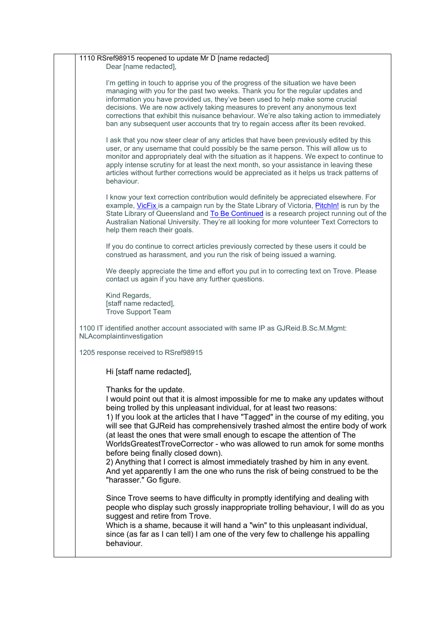| 1110 RSref98915 reopened to update Mr D [name redacted]<br>Dear [name redacted],                                                                                                                                                                                                                                                                                                                                                                                                                                                                                                                                                                                                                                                                              |
|---------------------------------------------------------------------------------------------------------------------------------------------------------------------------------------------------------------------------------------------------------------------------------------------------------------------------------------------------------------------------------------------------------------------------------------------------------------------------------------------------------------------------------------------------------------------------------------------------------------------------------------------------------------------------------------------------------------------------------------------------------------|
| I'm getting in touch to apprise you of the progress of the situation we have been<br>managing with you for the past two weeks. Thank you for the regular updates and<br>information you have provided us, they've been used to help make some crucial<br>decisions. We are now actively taking measures to prevent any anonymous text<br>corrections that exhibit this nuisance behaviour. We're also taking action to immediately<br>ban any subsequent user accounts that try to regain access after its been revoked.                                                                                                                                                                                                                                      |
| I ask that you now steer clear of any articles that have been previously edited by this<br>user, or any username that could possibly be the same person. This will allow us to<br>monitor and appropriately deal with the situation as it happens. We expect to continue to<br>apply intense scrutiny for at least the next month, so your assistance in leaving these<br>articles without further corrections would be appreciated as it helps us track patterns of<br>behaviour.                                                                                                                                                                                                                                                                            |
| I know your text correction contribution would definitely be appreciated elsewhere. For<br>example, VicFix is a campaign run by the State Library of Victoria, Pitchln! is run by the<br>State Library of Queensland and To Be Continued is a research project running out of the<br>Australian National University. They're all looking for more volunteer Text Correctors to<br>help them reach their goals.                                                                                                                                                                                                                                                                                                                                                |
| If you do continue to correct articles previously corrected by these users it could be<br>construed as harassment, and you run the risk of being issued a warning.                                                                                                                                                                                                                                                                                                                                                                                                                                                                                                                                                                                            |
| We deeply appreciate the time and effort you put in to correcting text on Trove. Please<br>contact us again if you have any further questions.                                                                                                                                                                                                                                                                                                                                                                                                                                                                                                                                                                                                                |
| Kind Regards,<br>[staff name redacted],<br><b>Trove Support Team</b>                                                                                                                                                                                                                                                                                                                                                                                                                                                                                                                                                                                                                                                                                          |
| 1100 IT identified another account associated with same IP as GJReid.B.Sc.M.Mgmt:<br>NLAcomplaintinvestigation                                                                                                                                                                                                                                                                                                                                                                                                                                                                                                                                                                                                                                                |
| 1205 response received to RSref98915                                                                                                                                                                                                                                                                                                                                                                                                                                                                                                                                                                                                                                                                                                                          |
| Hi [staff name redacted],                                                                                                                                                                                                                                                                                                                                                                                                                                                                                                                                                                                                                                                                                                                                     |
| Thanks for the update.<br>I would point out that it is almost impossible for me to make any updates without<br>being trolled by this unpleasant individual, for at least two reasons:<br>1) If you look at the articles that I have "Tagged" in the course of my editing, you<br>will see that GJReid has comprehensively trashed almost the entire body of work<br>(at least the ones that were small enough to escape the attention of The<br>WorldsGreatestTroveCorrector - who was allowed to run amok for some months<br>before being finally closed down).<br>2) Anything that I correct is almost immediately trashed by him in any event.<br>And yet apparently I am the one who runs the risk of being construed to be the<br>"harasser." Go figure. |
| Since Trove seems to have difficulty in promptly identifying and dealing with<br>people who display such grossly inappropriate trolling behaviour, I will do as you<br>suggest and retire from Trove.<br>Which is a shame, because it will hand a "win" to this unpleasant individual,<br>since (as far as I can tell) I am one of the very few to challenge his appalling<br>behaviour.                                                                                                                                                                                                                                                                                                                                                                      |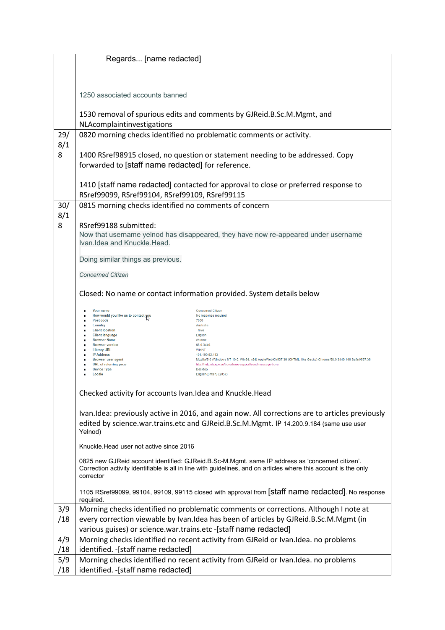|     | Regards [name redacted]                                                                                                                                                                                                                           |  |
|-----|---------------------------------------------------------------------------------------------------------------------------------------------------------------------------------------------------------------------------------------------------|--|
|     |                                                                                                                                                                                                                                                   |  |
|     |                                                                                                                                                                                                                                                   |  |
|     |                                                                                                                                                                                                                                                   |  |
|     | 1250 associated accounts banned                                                                                                                                                                                                                   |  |
|     |                                                                                                                                                                                                                                                   |  |
|     | 1530 removal of spurious edits and comments by GJReid.B.Sc.M.Mgmt, and                                                                                                                                                                            |  |
|     | NLAcomplaintinvestigations                                                                                                                                                                                                                        |  |
| 29/ | 0820 morning checks identified no problematic comments or activity.                                                                                                                                                                               |  |
| 8/1 |                                                                                                                                                                                                                                                   |  |
| 8   | 1400 RSref98915 closed, no question or statement needing to be addressed. Copy                                                                                                                                                                    |  |
|     | forwarded to [staff name redacted] for reference.                                                                                                                                                                                                 |  |
|     |                                                                                                                                                                                                                                                   |  |
|     | 1410 [staff name redacted] contacted for approval to close or preferred response to                                                                                                                                                               |  |
|     | RSref99099, RSref99104, RSref99109, RSref99115                                                                                                                                                                                                    |  |
| 30/ |                                                                                                                                                                                                                                                   |  |
|     | 0815 morning checks identified no comments of concern                                                                                                                                                                                             |  |
| 8/1 |                                                                                                                                                                                                                                                   |  |
| 8   | RSref99188 submitted:                                                                                                                                                                                                                             |  |
|     | Now that username yelnod has disappeared, they have now re-appeared under username<br>Ivan.Idea and Knuckle.Head.                                                                                                                                 |  |
|     |                                                                                                                                                                                                                                                   |  |
|     | Doing similar things as previous.                                                                                                                                                                                                                 |  |
|     |                                                                                                                                                                                                                                                   |  |
|     | <b>Concerned Citizen</b>                                                                                                                                                                                                                          |  |
|     | Closed: No name or contact information provided. System details below                                                                                                                                                                             |  |
|     |                                                                                                                                                                                                                                                   |  |
|     | Your name<br><b>Concerned Citizen</b><br>How would you like us to contact you<br>No response required                                                                                                                                             |  |
|     | Post code<br>7000<br>Country<br>Australia                                                                                                                                                                                                         |  |
|     | <b>Client location</b><br><b>Trove</b><br><b>Client language</b><br>English                                                                                                                                                                       |  |
|     | <b>Browser Name</b><br>chrome<br><b>Browser version</b><br>68.0.3440.                                                                                                                                                                             |  |
|     | <b>Library URL</b><br>WinNT<br><b>IP Address</b><br>101.190.92.113                                                                                                                                                                                |  |
|     | <b>Browser user agent</b><br>Mozilla/5.0 (Windows NT 10.0; Win64; x64) AppleWebKit/537.36 (KHTML, like Gecko) Chrome/68.0.3440.106 Safari/537.36<br><b>URL</b> of referring page<br>http://help.nla.gov.au/trove/trove-support/send-message-trove |  |
|     | <b>Device Type</b><br><b>Desktop</b><br>Locale<br>English(British) (2057)                                                                                                                                                                         |  |
|     |                                                                                                                                                                                                                                                   |  |
|     | Checked activity for accounts Ivan.Idea and Knuckle.Head                                                                                                                                                                                          |  |
|     |                                                                                                                                                                                                                                                   |  |
|     | Ivan.Idea: previously active in 2016, and again now. All corrections are to articles previously                                                                                                                                                   |  |
|     |                                                                                                                                                                                                                                                   |  |
|     | edited by science.war.trains.etc and GJReid.B.Sc.M.Mgmt. IP 14.200.9.184 (same use user<br>Yelnod)                                                                                                                                                |  |
|     |                                                                                                                                                                                                                                                   |  |
|     | Knuckle. Head user not active since 2016                                                                                                                                                                                                          |  |
|     | 0825 new GJReid account identified: GJReid.B.Sc-M.Mgmt. same IP address as 'concerned citizen'.                                                                                                                                                   |  |
|     | Correction activity identifiable is all in line with guidelines, and on articles where this account is the only                                                                                                                                   |  |
|     | corrector                                                                                                                                                                                                                                         |  |
|     | 1105 RSref99099, 99104, 99109, 99115 closed with approval from [staff name redacted]. No response                                                                                                                                                 |  |
|     | required.                                                                                                                                                                                                                                         |  |
| 3/9 | Morning checks identified no problematic comments or corrections. Although I note at                                                                                                                                                              |  |
| /18 | every correction viewable by Ivan.Idea has been of articles by GJReid.B.Sc.M.Mgmt (in                                                                                                                                                             |  |
|     | various guises) or science.war.trains.etc -[staff name redacted]                                                                                                                                                                                  |  |
| 4/9 | Morning checks identified no recent activity from GJReid or Ivan.Idea. no problems                                                                                                                                                                |  |
| /18 | identified. - [staff name redacted]                                                                                                                                                                                                               |  |
| 5/9 | Morning checks identified no recent activity from GJReid or Ivan.Idea. no problems                                                                                                                                                                |  |
| /18 | identified. - [staff name redacted]                                                                                                                                                                                                               |  |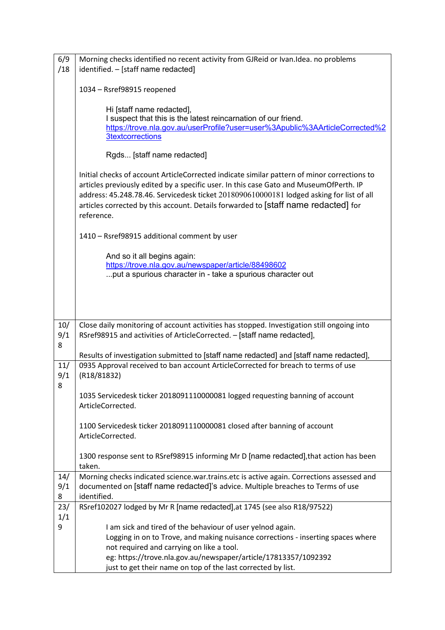| 6/9             | Morning checks identified no recent activity from GJReid or Ivan.Idea. no problems                                                                                                                                                                                                                                                                                                    |  |
|-----------------|---------------------------------------------------------------------------------------------------------------------------------------------------------------------------------------------------------------------------------------------------------------------------------------------------------------------------------------------------------------------------------------|--|
| /18             | identified. - [staff name redacted]                                                                                                                                                                                                                                                                                                                                                   |  |
|                 | 1034 - Rsref98915 reopened                                                                                                                                                                                                                                                                                                                                                            |  |
|                 | Hi [staff name redacted],<br>I suspect that this is the latest reincarnation of our friend.<br>https://trove.nla.gov.au/userProfile?user=user%3Apublic%3AArticleCorrected%2<br><b>3textcorrections</b>                                                                                                                                                                                |  |
|                 | Rgds [staff name redacted]                                                                                                                                                                                                                                                                                                                                                            |  |
|                 | Initial checks of account ArticleCorrected indicate similar pattern of minor corrections to<br>articles previously edited by a specific user. In this case Gato and MuseumOfPerth. IP<br>address: 45.248.78.46. Servicedesk ticket 2018090610000181 lodged asking for list of all<br>articles corrected by this account. Details forwarded to [staff name redacted] for<br>reference. |  |
|                 | 1410 - Rsref98915 additional comment by user                                                                                                                                                                                                                                                                                                                                          |  |
|                 | And so it all begins again:<br>https://trove.nla.gov.au/newspaper/article/88498602<br>put a spurious character in - take a spurious character out                                                                                                                                                                                                                                     |  |
|                 |                                                                                                                                                                                                                                                                                                                                                                                       |  |
| 10/<br>9/1<br>8 | Close daily monitoring of account activities has stopped. Investigation still ongoing into<br>RSref98915 and activities of ArticleCorrected. - [staff name redacted],                                                                                                                                                                                                                 |  |
|                 | Results of investigation submitted to [staff name redacted] and [staff name redacted],                                                                                                                                                                                                                                                                                                |  |
| 11/<br>9/1<br>8 | 0935 Approval received to ban account ArticleCorrected for breach to terms of use<br>(R18/81832)                                                                                                                                                                                                                                                                                      |  |
|                 | 1035 Servicedesk ticker 2018091110000081 logged requesting banning of account<br>ArticleCorrected.                                                                                                                                                                                                                                                                                    |  |
|                 | 1100 Servicedesk ticker 2018091110000081 closed after banning of account<br>ArticleCorrected.                                                                                                                                                                                                                                                                                         |  |
|                 | 1300 response sent to RSref98915 informing Mr D [name redacted], that action has been<br>taken.                                                                                                                                                                                                                                                                                       |  |
| 14/             | Morning checks indicated science.war.trains.etc is active again. Corrections assessed and                                                                                                                                                                                                                                                                                             |  |
| 9/1<br>8        | documented on [staff name redacted]'s advice. Multiple breaches to Terms of use<br>identified.                                                                                                                                                                                                                                                                                        |  |
| 23/             | RSref102027 lodged by Mr R [name redacted], at 1745 (see also R18/97522)                                                                                                                                                                                                                                                                                                              |  |
| 1/1             |                                                                                                                                                                                                                                                                                                                                                                                       |  |
| 9               | I am sick and tired of the behaviour of user yelnod again.                                                                                                                                                                                                                                                                                                                            |  |
|                 | Logging in on to Trove, and making nuisance corrections - inserting spaces where<br>not required and carrying on like a tool.                                                                                                                                                                                                                                                         |  |
|                 | eg: https://trove.nla.gov.au/newspaper/article/17813357/1092392                                                                                                                                                                                                                                                                                                                       |  |
|                 | just to get their name on top of the last corrected by list.                                                                                                                                                                                                                                                                                                                          |  |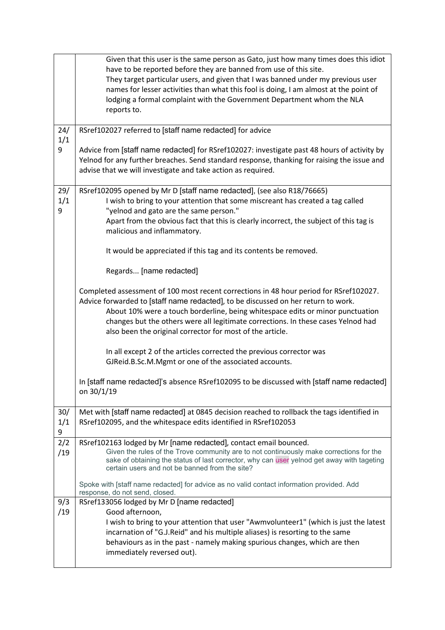|                 | Given that this user is the same person as Gato, just how many times does this idiot<br>have to be reported before they are banned from use of this site.<br>They target particular users, and given that I was banned under my previous user<br>names for lesser activities than what this fool is doing, I am almost at the point of<br>lodging a formal complaint with the Government Department whom the NLA<br>reports to. |
|-----------------|---------------------------------------------------------------------------------------------------------------------------------------------------------------------------------------------------------------------------------------------------------------------------------------------------------------------------------------------------------------------------------------------------------------------------------|
| 24/<br>1/1      | RSref102027 referred to [staff name redacted] for advice                                                                                                                                                                                                                                                                                                                                                                        |
| 9               | Advice from [staff name redacted] for RSref102027: investigate past 48 hours of activity by<br>Yelnod for any further breaches. Send standard response, thanking for raising the issue and<br>advise that we will investigate and take action as required.                                                                                                                                                                      |
| 29/<br>1/1      | RSref102095 opened by Mr D [staff name redacted], (see also R18/76665)<br>I wish to bring to your attention that some miscreant has created a tag called                                                                                                                                                                                                                                                                        |
| 9               | "yelnod and gato are the same person."<br>Apart from the obvious fact that this is clearly incorrect, the subject of this tag is<br>malicious and inflammatory.                                                                                                                                                                                                                                                                 |
|                 | It would be appreciated if this tag and its contents be removed.                                                                                                                                                                                                                                                                                                                                                                |
|                 | Regards [name redacted]                                                                                                                                                                                                                                                                                                                                                                                                         |
|                 | Completed assessment of 100 most recent corrections in 48 hour period for RSref102027.<br>Advice forwarded to [staff name redacted], to be discussed on her return to work.<br>About 10% were a touch borderline, being whitespace edits or minor punctuation<br>changes but the others were all legitimate corrections. In these cases Yelnod had<br>also been the original corrector for most of the article.                 |
|                 | In all except 2 of the articles corrected the previous corrector was<br>GJReid.B.Sc.M.Mgmt or one of the associated accounts.                                                                                                                                                                                                                                                                                                   |
|                 | In [staff name redacted]'s absence RSref102095 to be discussed with [staff name redacted]<br>on 30/1/19                                                                                                                                                                                                                                                                                                                         |
| 30/<br>1/1<br>9 | Met with [staff name redacted] at 0845 decision reached to rollback the tags identified in<br>RSref102095, and the whitespace edits identified in RSref102053                                                                                                                                                                                                                                                                   |
| 2/2<br>/19      | RSref102163 lodged by Mr [name redacted], contact email bounced.<br>Given the rules of the Trove community are to not continuously make corrections for the<br>sake of obtaining the status of last corrector, why can user yelnod get away with tageting<br>certain users and not be banned from the site?                                                                                                                     |
|                 | Spoke with [staff name redacted] for advice as no valid contact information provided. Add<br>response, do not send, closed.                                                                                                                                                                                                                                                                                                     |
| 9/3<br>/19      | RSref133056 lodged by Mr D [name redacted]<br>Good afternoon,<br>I wish to bring to your attention that user "Awmvolunteer1" (which is just the latest<br>incarnation of "G.J.Reid" and his multiple aliases) is resorting to the same<br>behaviours as in the past - namely making spurious changes, which are then<br>immediately reversed out).                                                                              |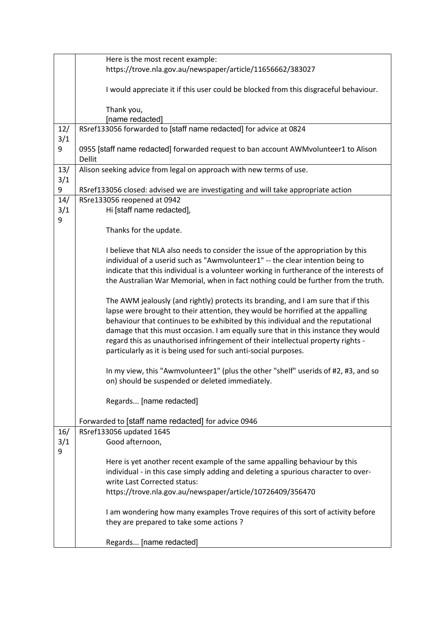|     | Here is the most recent example:                                                        |
|-----|-----------------------------------------------------------------------------------------|
|     | https://trove.nla.gov.au/newspaper/article/11656662/383027                              |
|     |                                                                                         |
|     | I would appreciate it if this user could be blocked from this disgraceful behaviour.    |
|     |                                                                                         |
|     | Thank you,                                                                              |
|     | [name redacted]                                                                         |
| 12/ | RSref133056 forwarded to [staff name redacted] for advice at 0824                       |
| 3/1 |                                                                                         |
| 9   | 0955 [staff name redacted] forwarded request to ban account AWMvolunteer1 to Alison     |
|     | Dellit                                                                                  |
| 13/ | Alison seeking advice from legal on approach with new terms of use.                     |
| 3/1 |                                                                                         |
| 9   | RSref133056 closed: advised we are investigating and will take appropriate action       |
| 14/ | RSre133056 reopened at 0942                                                             |
| 3/1 | Hi [staff name redacted],                                                               |
| 9   |                                                                                         |
|     | Thanks for the update.                                                                  |
|     |                                                                                         |
|     | I believe that NLA also needs to consider the issue of the appropriation by this        |
|     | individual of a userid such as "Awmvolunteer1" -- the clear intention being to          |
|     | indicate that this individual is a volunteer working in furtherance of the interests of |
|     | the Australian War Memorial, when in fact nothing could be further from the truth.      |
|     |                                                                                         |
|     | The AWM jealously (and rightly) protects its branding, and I am sure that if this       |
|     | lapse were brought to their attention, they would be horrified at the appalling         |
|     | behaviour that continues to be exhibited by this individual and the reputational        |
|     | damage that this must occasion. I am equally sure that in this instance they would      |
|     | regard this as unauthorised infringement of their intellectual property rights -        |
|     | particularly as it is being used for such anti-social purposes.                         |
|     |                                                                                         |
|     | In my view, this "Awmvolunteer1" (plus the other "shelf" userids of #2, #3, and so      |
|     | on) should be suspended or deleted immediately.                                         |
|     |                                                                                         |
|     | Regards [name redacted]                                                                 |
|     |                                                                                         |
|     | Forwarded to [staff name redacted] for advice 0946                                      |
| 16/ | RSref133056 updated 1645                                                                |
| 3/1 | Good afternoon,                                                                         |
| 9   |                                                                                         |
|     | Here is yet another recent example of the same appalling behaviour by this              |
|     | individual - in this case simply adding and deleting a spurious character to over-      |
|     | write Last Corrected status:                                                            |
|     | https://trove.nla.gov.au/newspaper/article/10726409/356470                              |
|     |                                                                                         |
|     | I am wondering how many examples Trove requires of this sort of activity before         |
|     | they are prepared to take some actions?                                                 |
|     |                                                                                         |
|     | Regards [name redacted]                                                                 |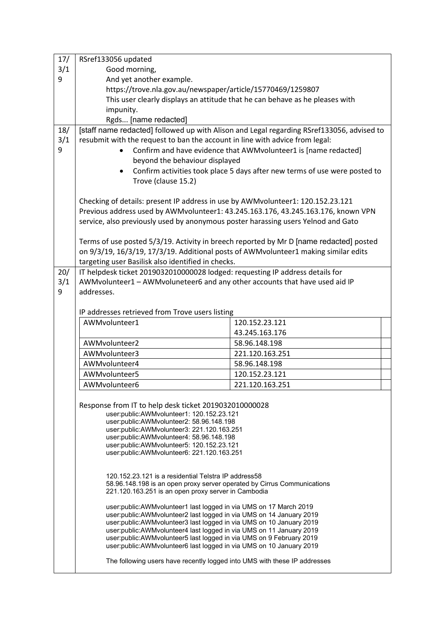| 17/ | RSref133056 updated                                                                                                                                |                                                                                           |  |
|-----|----------------------------------------------------------------------------------------------------------------------------------------------------|-------------------------------------------------------------------------------------------|--|
| 3/1 | Good morning,                                                                                                                                      |                                                                                           |  |
| 9   | And yet another example.                                                                                                                           |                                                                                           |  |
|     | https://trove.nla.gov.au/newspaper/article/15770469/1259807                                                                                        |                                                                                           |  |
|     |                                                                                                                                                    | This user clearly displays an attitude that he can behave as he pleases with              |  |
|     | impunity.                                                                                                                                          |                                                                                           |  |
|     | Rgds [name redacted]                                                                                                                               |                                                                                           |  |
| 18/ |                                                                                                                                                    | [staff name redacted] followed up with Alison and Legal regarding RSref133056, advised to |  |
| 3/1 | resubmit with the request to ban the account in line with advice from legal:                                                                       |                                                                                           |  |
| 9   |                                                                                                                                                    | Confirm and have evidence that AWMvolunteer1 is [name redacted]                           |  |
|     | beyond the behaviour displayed                                                                                                                     |                                                                                           |  |
|     | Confirm activities took place 5 days after new terms of use were posted to                                                                         |                                                                                           |  |
|     | Trove (clause 15.2)                                                                                                                                |                                                                                           |  |
|     |                                                                                                                                                    |                                                                                           |  |
|     | Checking of details: present IP address in use by AWMvolunteer1: 120.152.23.121                                                                    |                                                                                           |  |
|     | Previous address used by AWMvolunteer1: 43.245.163.176, 43.245.163.176, known VPN                                                                  |                                                                                           |  |
|     | service, also previously used by anonymous poster harassing users Yelnod and Gato                                                                  |                                                                                           |  |
|     |                                                                                                                                                    |                                                                                           |  |
|     | Terms of use posted 5/3/19. Activity in breech reported by Mr D [name redacted] posted                                                             |                                                                                           |  |
|     | on 9/3/19, 16/3/19, 17/3/19. Additional posts of AWMvolunteer1 making similar edits                                                                |                                                                                           |  |
|     | targeting user Basilisk also identified in checks.                                                                                                 |                                                                                           |  |
| 20/ | IT helpdesk ticket 2019032010000028 lodged: requesting IP address details for                                                                      |                                                                                           |  |
| 3/1 | AWMvolunteer1 - AWMvoluneteer6 and any other accounts that have used aid IP                                                                        |                                                                                           |  |
| 9   | addresses.                                                                                                                                         |                                                                                           |  |
|     |                                                                                                                                                    |                                                                                           |  |
|     | IP addresses retrieved from Trove users listing                                                                                                    |                                                                                           |  |
|     | AWMvolunteer1                                                                                                                                      | 120.152.23.121                                                                            |  |
|     |                                                                                                                                                    | 43.245.163.176                                                                            |  |
|     | AWMvolunteer2                                                                                                                                      | 58.96.148.198                                                                             |  |
|     | AWMvolunteer3                                                                                                                                      | 221.120.163.251                                                                           |  |
|     | AWMvolunteer4                                                                                                                                      | 58.96.148.198                                                                             |  |
|     | AWMvolunteer5                                                                                                                                      | 120.152.23.121                                                                            |  |
|     | AWMvolunteer6                                                                                                                                      | 221.120.163.251                                                                           |  |
|     |                                                                                                                                                    |                                                                                           |  |
|     | Response from IT to help desk ticket 2019032010000028                                                                                              |                                                                                           |  |
|     | user:public:AWMvolunteer1: 120.152.23.121                                                                                                          |                                                                                           |  |
|     | user:public:AWMvolunteer2: 58.96.148.198                                                                                                           |                                                                                           |  |
|     | user:public:AWMvolunteer3: 221.120.163.251<br>user:public:AWMvolunteer4: 58.96.148.198                                                             |                                                                                           |  |
|     | user:public:AWMvolunteer5: 120.152.23.121                                                                                                          |                                                                                           |  |
|     | user:public:AWMvolunteer6: 221.120.163.251                                                                                                         |                                                                                           |  |
|     |                                                                                                                                                    |                                                                                           |  |
|     | 120.152.23.121 is a residential Telstra IP address58                                                                                               |                                                                                           |  |
|     | 58.96.148.198 is an open proxy server operated by Cirrus Communications                                                                            |                                                                                           |  |
|     | 221.120.163.251 is an open proxy server in Cambodia                                                                                                |                                                                                           |  |
|     | user: public: AWM volunteer 1 last logged in via UMS on 17 March 2019                                                                              |                                                                                           |  |
|     | user:public:AWMvolunteer2 last logged in via UMS on 14 January 2019                                                                                |                                                                                           |  |
|     | user: public: AWM volunteer 3 last logged in via UMS on 10 January 2019<br>user: public: AWM volunteer 4 last logged in via UMS on 11 January 2019 |                                                                                           |  |
|     | user:public:AWMvolunteer5 last logged in via UMS on 9 February 2019                                                                                |                                                                                           |  |
|     | user: public: AWM volunteer 6 last logged in via UMS on 10 January 2019                                                                            |                                                                                           |  |
|     | The following users have recently logged into UMS with these IP addresses                                                                          |                                                                                           |  |
|     |                                                                                                                                                    |                                                                                           |  |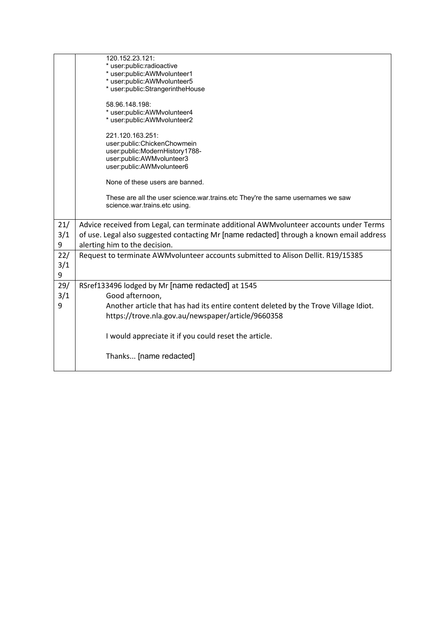|          | 120.152.23.121:<br>* user:public:radioactive<br>* user:public:AWMvolunteer1<br>* user:public:AWMvolunteer5                                  |
|----------|---------------------------------------------------------------------------------------------------------------------------------------------|
|          | * user:public:StrangerintheHouse                                                                                                            |
|          | 58.96.148.198:<br>* user:public:AWMvolunteer4<br>* user:public:AWMvolunteer2                                                                |
|          | 221.120.163.251:<br>user:public:ChickenChowmein<br>user:public:ModernHistory1788-<br>user:public:AWMvolunteer3<br>user:public:AWMvolunteer6 |
|          | None of these users are banned.                                                                                                             |
|          | These are all the user science war trains etc They're the same usernames we saw<br>science.war.trains.etc using.                            |
| 21/      | Advice received from Legal, can terminate additional AWMvolunteer accounts under Terms                                                      |
| 3/1<br>9 | of use. Legal also suggested contacting Mr [name redacted] through a known email address<br>alerting him to the decision.                   |
| 22/      | Request to terminate AWMvolunteer accounts submitted to Alison Dellit. R19/15385                                                            |
| 3/1      |                                                                                                                                             |
| 9        |                                                                                                                                             |
| 29/      | RSref133496 lodged by Mr [name redacted] at 1545                                                                                            |
| 3/1      | Good afternoon,                                                                                                                             |
| 9        | Another article that has had its entire content deleted by the Trove Village Idiot.<br>https://trove.nla.gov.au/newspaper/article/9660358   |
|          | I would appreciate it if you could reset the article.                                                                                       |
|          | Thanks [name redacted]                                                                                                                      |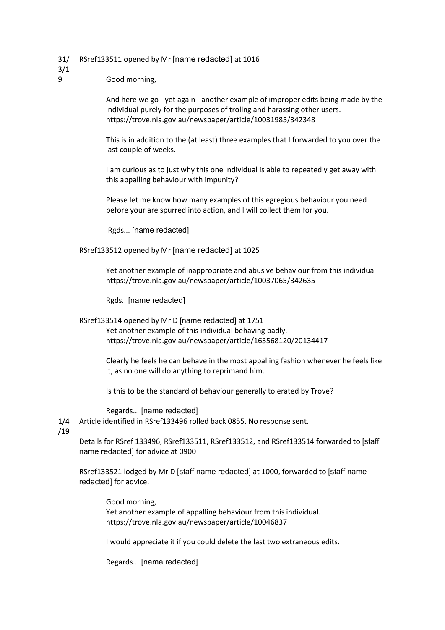| 31/      | RSref133511 opened by Mr [name redacted] at 1016                                                                                                                                                                           |
|----------|----------------------------------------------------------------------------------------------------------------------------------------------------------------------------------------------------------------------------|
| 3/1<br>9 | Good morning,                                                                                                                                                                                                              |
|          |                                                                                                                                                                                                                            |
|          | And here we go - yet again - another example of improper edits being made by the<br>individual purely for the purposes of trollng and harassing other users.<br>https://trove.nla.gov.au/newspaper/article/10031985/342348 |
|          | This is in addition to the (at least) three examples that I forwarded to you over the<br>last couple of weeks.                                                                                                             |
|          | I am curious as to just why this one individual is able to repeatedly get away with<br>this appalling behaviour with impunity?                                                                                             |
|          | Please let me know how many examples of this egregious behaviour you need<br>before your are spurred into action, and I will collect them for you.                                                                         |
|          | Rgds [name redacted]                                                                                                                                                                                                       |
|          | RSref133512 opened by Mr [name redacted] at 1025                                                                                                                                                                           |
|          | Yet another example of inappropriate and abusive behaviour from this individual<br>https://trove.nla.gov.au/newspaper/article/10037065/342635                                                                              |
|          | Rgds [name redacted]                                                                                                                                                                                                       |
|          | RSref133514 opened by Mr D [name redacted] at 1751<br>Yet another example of this individual behaving badly.<br>https://trove.nla.gov.au/newspaper/article/163568120/20134417                                              |
|          | Clearly he feels he can behave in the most appalling fashion whenever he feels like<br>it, as no one will do anything to reprimand him.                                                                                    |
|          | Is this to be the standard of behaviour generally tolerated by Trove?                                                                                                                                                      |
|          | Regards [name redacted]                                                                                                                                                                                                    |
| 1/4      | Article identified in RSref133496 rolled back 0855. No response sent.                                                                                                                                                      |
| /19      | Details for RSref 133496, RSref133511, RSref133512, and RSref133514 forwarded to [staff<br>name redacted] for advice at 0900                                                                                               |
|          | RSref133521 lodged by Mr D [staff name redacted] at 1000, forwarded to [staff name<br>redacted] for advice.                                                                                                                |
|          | Good morning,<br>Yet another example of appalling behaviour from this individual.<br>https://trove.nla.gov.au/newspaper/article/10046837                                                                                   |
|          | I would appreciate it if you could delete the last two extraneous edits.                                                                                                                                                   |
|          | Regards [name redacted]                                                                                                                                                                                                    |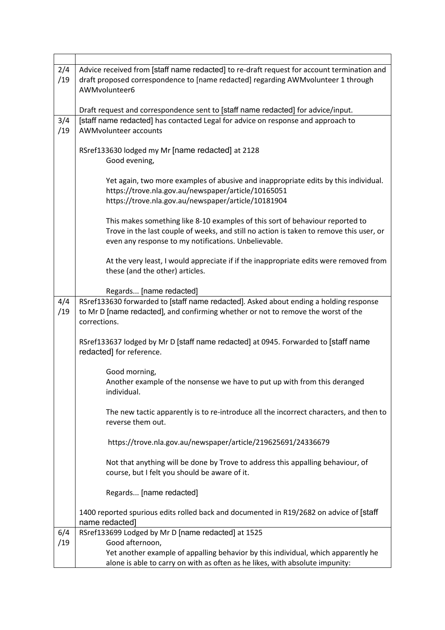| 2/4 | Advice received from [staff name redacted] to re-draft request for account termination and |
|-----|--------------------------------------------------------------------------------------------|
| /19 | draft proposed correspondence to [name redacted] regarding AWMvolunteer 1 through          |
|     | AWMvolunteer6                                                                              |
|     |                                                                                            |
|     | Draft request and correspondence sent to [staff name redacted] for advice/input.           |
| 3/4 | [staff name redacted] has contacted Legal for advice on response and approach to           |
| /19 | AWMvolunteer accounts                                                                      |
|     |                                                                                            |
|     | RSref133630 lodged my Mr [name redacted] at 2128                                           |
|     | Good evening,                                                                              |
|     |                                                                                            |
|     | Yet again, two more examples of abusive and inappropriate edits by this individual.        |
|     | https://trove.nla.gov.au/newspaper/article/10165051                                        |
|     | https://trove.nla.gov.au/newspaper/article/10181904                                        |
|     |                                                                                            |
|     | This makes something like 8-10 examples of this sort of behaviour reported to              |
|     | Trove in the last couple of weeks, and still no action is taken to remove this user, or    |
|     | even any response to my notifications. Unbelievable.                                       |
|     |                                                                                            |
|     | At the very least, I would appreciate if if the inappropriate edits were removed from      |
|     | these (and the other) articles.                                                            |
|     |                                                                                            |
|     | Regards [name redacted]                                                                    |
| 4/4 | RSref133630 forwarded to [staff name redacted]. Asked about ending a holding response      |
| /19 | to Mr D [name redacted], and confirming whether or not to remove the worst of the          |
|     | corrections.                                                                               |
|     |                                                                                            |
|     | RSref133637 lodged by Mr D [staff name redacted] at 0945. Forwarded to [staff name         |
|     | redacted] for reference.                                                                   |
|     |                                                                                            |
|     | Good morning,                                                                              |
|     | Another example of the nonsense we have to put up with from this deranged                  |
|     | individual.                                                                                |
|     |                                                                                            |
|     | The new tactic apparently is to re-introduce all the incorrect characters, and then to     |
|     | reverse them out.                                                                          |
|     |                                                                                            |
|     | https://trove.nla.gov.au/newspaper/article/219625691/24336679                              |
|     |                                                                                            |
|     | Not that anything will be done by Trove to address this appalling behaviour, of            |
|     | course, but I felt you should be aware of it.                                              |
|     |                                                                                            |
|     | Regards [name redacted]                                                                    |
|     |                                                                                            |
|     | 1400 reported spurious edits rolled back and documented in R19/2682 on advice of [staff    |
|     | name redacted]                                                                             |
| 6/4 | RSref133699 Lodged by Mr D [name redacted] at 1525                                         |
| /19 | Good afternoon,                                                                            |
|     | Yet another example of appalling behavior by this individual, which apparently he          |
|     | alone is able to carry on with as often as he likes, with absolute impunity:               |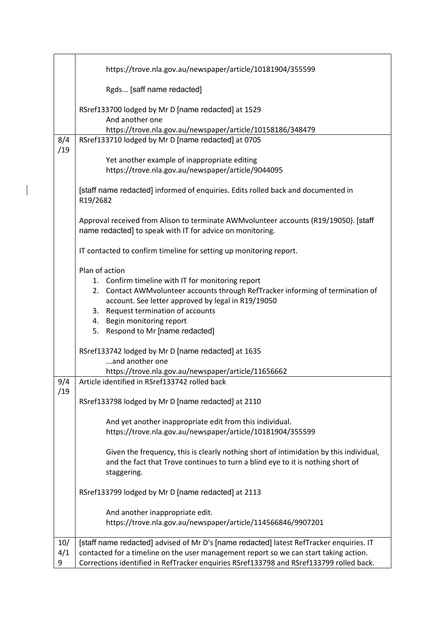|            | https://trove.nla.gov.au/newspaper/article/10181904/355599                                                                                                                               |
|------------|------------------------------------------------------------------------------------------------------------------------------------------------------------------------------------------|
|            | Rgds [saff name redacted]                                                                                                                                                                |
|            | RSref133700 lodged by Mr D [name redacted] at 1529<br>And another one                                                                                                                    |
|            | https://trove.nla.gov.au/newspaper/article/10158186/348479                                                                                                                               |
| 8/4<br>/19 | RSref133710 lodged by Mr D [name redacted] at 0705                                                                                                                                       |
|            | Yet another example of inappropriate editing                                                                                                                                             |
|            | https://trove.nla.gov.au/newspaper/article/9044095                                                                                                                                       |
|            | [staff name redacted] informed of enquiries. Edits rolled back and documented in<br>R19/2682                                                                                             |
|            | Approval received from Alison to terminate AWMvolunteer accounts (R19/19050). [staff<br>name redacted] to speak with IT for advice on monitoring.                                        |
|            | IT contacted to confirm timeline for setting up monitoring report.                                                                                                                       |
|            | Plan of action                                                                                                                                                                           |
|            | 1. Confirm timeline with IT for monitoring report                                                                                                                                        |
|            | Contact AWMvolunteer accounts through RefTracker informing of termination of<br>2.                                                                                                       |
|            | account. See letter approved by legal in R19/19050                                                                                                                                       |
|            | Request termination of accounts<br>3.                                                                                                                                                    |
|            | 4. Begin monitoring report                                                                                                                                                               |
|            | 5. Respond to Mr [name redacted]                                                                                                                                                         |
|            | RSref133742 lodged by Mr D [name redacted] at 1635                                                                                                                                       |
|            | and another one                                                                                                                                                                          |
|            | https://trove.nla.gov.au/newspaper/article/11656662                                                                                                                                      |
| 9/4        | Article identified in RSref133742 rolled back                                                                                                                                            |
| /19        | RSref133798 lodged by Mr D [name redacted] at 2110                                                                                                                                       |
|            | And yet another inappropriate edit from this individual.                                                                                                                                 |
|            | https://trove.nla.gov.au/newspaper/article/10181904/355599                                                                                                                               |
|            |                                                                                                                                                                                          |
|            | Given the frequency, this is clearly nothing short of intimidation by this individual,<br>and the fact that Trove continues to turn a blind eye to it is nothing short of<br>staggering. |
|            | RSref133799 lodged by Mr D [name redacted] at 2113                                                                                                                                       |
|            | And another inappropriate edit.<br>https://trove.nla.gov.au/newspaper/article/114566846/9907201                                                                                          |
|            |                                                                                                                                                                                          |
| 10/        | [staff name redacted] advised of Mr D's [name redacted] latest RefTracker enquiries. IT                                                                                                  |
| 4/1        | contacted for a timeline on the user management report so we can start taking action.                                                                                                    |
| 9          | Corrections identified in RefTracker enquiries RSref133798 and RSref133799 rolled back.                                                                                                  |

 $\overline{\phantom{a}}$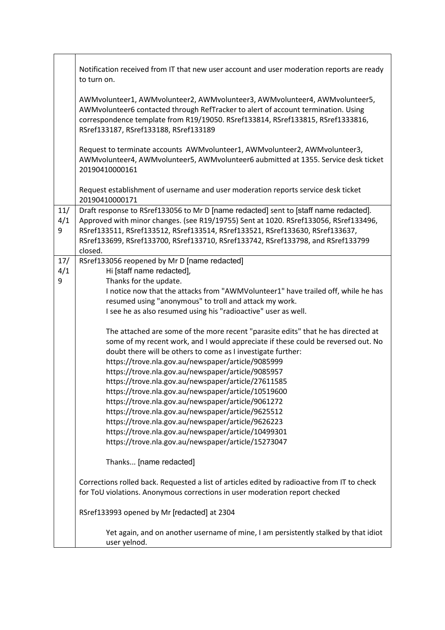|                 | Notification received from IT that new user account and user moderation reports are ready<br>to turn on.                                                                                                                                                                                                                                                                                                                                                                                                                                                                                                                                                                                                                                         |
|-----------------|--------------------------------------------------------------------------------------------------------------------------------------------------------------------------------------------------------------------------------------------------------------------------------------------------------------------------------------------------------------------------------------------------------------------------------------------------------------------------------------------------------------------------------------------------------------------------------------------------------------------------------------------------------------------------------------------------------------------------------------------------|
|                 | AWMvolunteer1, AWMvolunteer2, AWMvolunteer3, AWMvolunteer4, AWMvolunteer5,<br>AWMvolunteer6 contacted through RefTracker to alert of account termination. Using<br>correspondence template from R19/19050. RSref133814, RSref133815, RSref1333816,<br>RSref133187, RSref133188, RSref133189                                                                                                                                                                                                                                                                                                                                                                                                                                                      |
|                 | Request to terminate accounts AWMvolunteer1, AWMvolunteer2, AWMvolunteer3,<br>AWMvolunteer4, AWMvolunteer5, AWMvolunteer6 aubmitted at 1355. Service desk ticket<br>20190410000161                                                                                                                                                                                                                                                                                                                                                                                                                                                                                                                                                               |
|                 | Request establishment of username and user moderation reports service desk ticket<br>20190410000171                                                                                                                                                                                                                                                                                                                                                                                                                                                                                                                                                                                                                                              |
| 11/<br>4/1<br>9 | Draft response to RSref133056 to Mr D [name redacted] sent to [staff name redacted].<br>Approved with minor changes. (see R19/19755) Sent at 1020. RSref133056, RSref133496,<br>RSref133511, RSref133512, RSref133514, RSref133521, RSref133630, RSref133637,<br>RSref133699, RSref133700, RSref133710, RSref133742, RSref133798, and RSref133799<br>closed.                                                                                                                                                                                                                                                                                                                                                                                     |
| 17/             | RSref133056 reopened by Mr D [name redacted]                                                                                                                                                                                                                                                                                                                                                                                                                                                                                                                                                                                                                                                                                                     |
| 4/1<br>9        | Hi [staff name redacted],<br>Thanks for the update.                                                                                                                                                                                                                                                                                                                                                                                                                                                                                                                                                                                                                                                                                              |
|                 | I notice now that the attacks from "AWMVolunteer1" have trailed off, while he has                                                                                                                                                                                                                                                                                                                                                                                                                                                                                                                                                                                                                                                                |
|                 | resumed using "anonymous" to troll and attack my work.                                                                                                                                                                                                                                                                                                                                                                                                                                                                                                                                                                                                                                                                                           |
|                 | I see he as also resumed using his "radioactive" user as well.                                                                                                                                                                                                                                                                                                                                                                                                                                                                                                                                                                                                                                                                                   |
|                 | The attached are some of the more recent "parasite edits" that he has directed at<br>some of my recent work, and I would appreciate if these could be reversed out. No<br>doubt there will be others to come as I investigate further:<br>https://trove.nla.gov.au/newspaper/article/9085999<br>https://trove.nla.gov.au/newspaper/article/9085957<br>https://trove.nla.gov.au/newspaper/article/27611585<br>https://trove.nla.gov.au/newspaper/article/10519600<br>https://trove.nla.gov.au/newspaper/article/9061272<br>https://trove.nla.gov.au/newspaper/article/9625512<br>https://trove.nla.gov.au/newspaper/article/9626223<br>https://trove.nla.gov.au/newspaper/article/10499301<br>https://trove.nla.gov.au/newspaper/article/15273047 |
|                 | Thanks [name redacted]                                                                                                                                                                                                                                                                                                                                                                                                                                                                                                                                                                                                                                                                                                                           |
|                 | Corrections rolled back. Requested a list of articles edited by radioactive from IT to check<br>for ToU violations. Anonymous corrections in user moderation report checked                                                                                                                                                                                                                                                                                                                                                                                                                                                                                                                                                                      |
|                 | RSref133993 opened by Mr [redacted] at 2304                                                                                                                                                                                                                                                                                                                                                                                                                                                                                                                                                                                                                                                                                                      |
|                 | Yet again, and on another username of mine, I am persistently stalked by that idiot<br>user yelnod.                                                                                                                                                                                                                                                                                                                                                                                                                                                                                                                                                                                                                                              |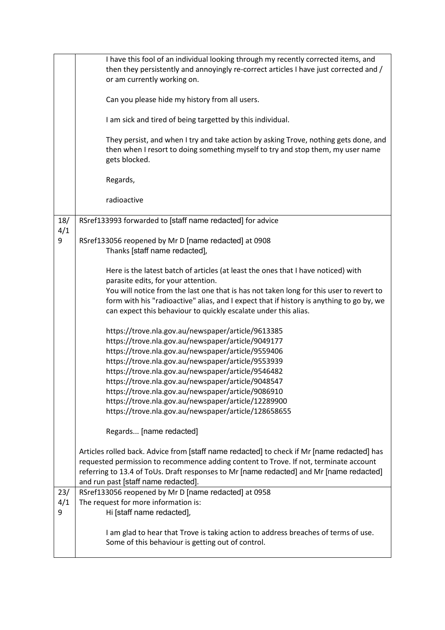|     | I have this fool of an individual looking through my recently corrected items, and         |
|-----|--------------------------------------------------------------------------------------------|
|     | then they persistently and annoyingly re-correct articles I have just corrected and /      |
|     | or am currently working on.                                                                |
|     |                                                                                            |
|     | Can you please hide my history from all users.                                             |
|     |                                                                                            |
|     | I am sick and tired of being targetted by this individual.                                 |
|     |                                                                                            |
|     | They persist, and when I try and take action by asking Trove, nothing gets done, and       |
|     | then when I resort to doing something myself to try and stop them, my user name            |
|     | gets blocked.                                                                              |
|     |                                                                                            |
|     | Regards,                                                                                   |
|     |                                                                                            |
|     | radioactive                                                                                |
|     |                                                                                            |
| 18/ | RSref133993 forwarded to [staff name redacted] for advice                                  |
| 4/1 |                                                                                            |
| 9   | RSref133056 reopened by Mr D [name redacted] at 0908                                       |
|     | Thanks [staff name redacted],                                                              |
|     |                                                                                            |
|     | Here is the latest batch of articles (at least the ones that I have noticed) with          |
|     | parasite edits, for your attention.                                                        |
|     | You will notice from the last one that is has not taken long for this user to revert to    |
|     | form with his "radioactive" alias, and I expect that if history is anything to go by, we   |
|     | can expect this behaviour to quickly escalate under this alias.                            |
|     |                                                                                            |
|     | https://trove.nla.gov.au/newspaper/article/9613385                                         |
|     | https://trove.nla.gov.au/newspaper/article/9049177                                         |
|     | https://trove.nla.gov.au/newspaper/article/9559406                                         |
|     | https://trove.nla.gov.au/newspaper/article/9553939                                         |
|     | https://trove.nla.gov.au/newspaper/article/9546482                                         |
|     |                                                                                            |
|     | https://trove.nla.gov.au/newspaper/article/9048547                                         |
|     | https://trove.nla.gov.au/newspaper/article/9086910                                         |
|     | https://trove.nla.gov.au/newspaper/article/12289900                                        |
|     | https://trove.nla.gov.au/newspaper/article/128658655                                       |
|     | Regards [name redacted]                                                                    |
|     |                                                                                            |
|     | Articles rolled back. Advice from [staff name redacted] to check if Mr [name redacted] has |
|     | requested permission to recommence adding content to Trove. If not, terminate account      |
|     | referring to 13.4 of ToUs. Draft responses to Mr [name redacted] and Mr [name redacted]    |
|     | and run past [staff name redacted].                                                        |
| 23/ | RSref133056 reopened by Mr D [name redacted] at 0958                                       |
| 4/1 | The request for more information is:                                                       |
|     |                                                                                            |
| 9   | Hi [staff name redacted],                                                                  |
|     |                                                                                            |
|     | I am glad to hear that Trove is taking action to address breaches of terms of use.         |
|     | Some of this behaviour is getting out of control.                                          |
|     |                                                                                            |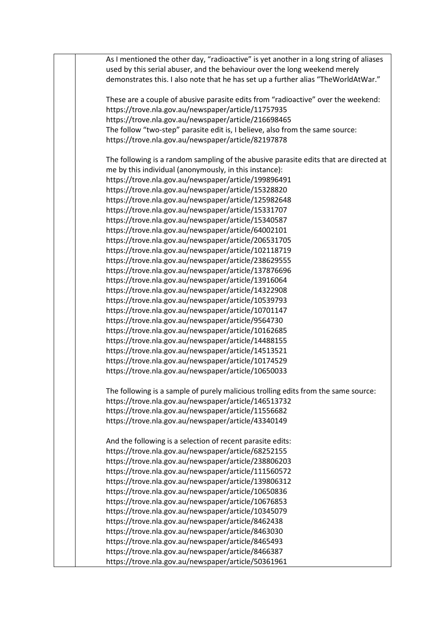As I mentioned the other day, "radioactive" is yet another in a long string of aliases used by this serial abuser, and the behaviour over the long weekend merely demonstrates this. I also note that he has set up a further alias "TheWorldAtWar." These are a couple of abusive parasite edits from "radioactive" over the weekend: https://trove.nla.gov.au/newspaper/article/11757935 https://trove.nla.gov.au/newspaper/article/216698465 The follow "two-step" parasite edit is, I believe, also from the same source: https://trove.nla.gov.au/newspaper/article/82197878 The following is a random sampling of the abusive parasite edits that are directed at me by this individual (anonymously, in this instance): https://trove.nla.gov.au/newspaper/article/199896491 https://trove.nla.gov.au/newspaper/article/15328820 https://trove.nla.gov.au/newspaper/article/125982648 https://trove.nla.gov.au/newspaper/article/15331707 https://trove.nla.gov.au/newspaper/article/15340587 https://trove.nla.gov.au/newspaper/article/64002101 https://trove.nla.gov.au/newspaper/article/206531705 https://trove.nla.gov.au/newspaper/article/102118719 https://trove.nla.gov.au/newspaper/article/238629555 https://trove.nla.gov.au/newspaper/article/137876696 https://trove.nla.gov.au/newspaper/article/13916064 https://trove.nla.gov.au/newspaper/article/14322908 https://trove.nla.gov.au/newspaper/article/10539793 https://trove.nla.gov.au/newspaper/article/10701147 https://trove.nla.gov.au/newspaper/article/9564730 https://trove.nla.gov.au/newspaper/article/10162685 https://trove.nla.gov.au/newspaper/article/14488155 https://trove.nla.gov.au/newspaper/article/14513521 https://trove.nla.gov.au/newspaper/article/10174529 https://trove.nla.gov.au/newspaper/article/10650033 The following is a sample of purely malicious trolling edits from the same source: https://trove.nla.gov.au/newspaper/article/146513732 https://trove.nla.gov.au/newspaper/article/11556682 https://trove.nla.gov.au/newspaper/article/43340149 And the following is a selection of recent parasite edits: https://trove.nla.gov.au/newspaper/article/68252155 https://trove.nla.gov.au/newspaper/article/238806203 https://trove.nla.gov.au/newspaper/article/111560572 https://trove.nla.gov.au/newspaper/article/139806312 https://trove.nla.gov.au/newspaper/article/10650836 https://trove.nla.gov.au/newspaper/article/10676853 https://trove.nla.gov.au/newspaper/article/10345079 https://trove.nla.gov.au/newspaper/article/8462438 https://trove.nla.gov.au/newspaper/article/8463030 https://trove.nla.gov.au/newspaper/article/8465493 https://trove.nla.gov.au/newspaper/article/8466387 https://trove.nla.gov.au/newspaper/article/50361961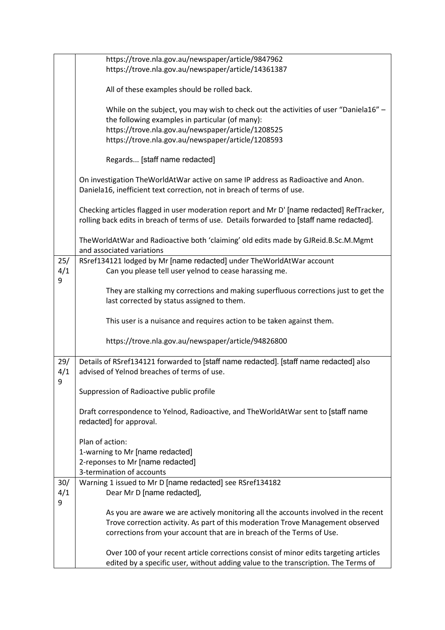|                 | https://trove.nla.gov.au/newspaper/article/9847962<br>https://trove.nla.gov.au/newspaper/article/14361387                                                                                                                                           |
|-----------------|-----------------------------------------------------------------------------------------------------------------------------------------------------------------------------------------------------------------------------------------------------|
|                 | All of these examples should be rolled back.                                                                                                                                                                                                        |
|                 | While on the subject, you may wish to check out the activities of user "Daniela16" -<br>the following examples in particular (of many):<br>https://trove.nla.gov.au/newspaper/article/1208525<br>https://trove.nla.gov.au/newspaper/article/1208593 |
|                 | Regards [staff name redacted]                                                                                                                                                                                                                       |
|                 | On investigation TheWorldAtWar active on same IP address as Radioactive and Anon.<br>Daniela16, inefficient text correction, not in breach of terms of use.                                                                                         |
|                 | Checking articles flagged in user moderation report and Mr D' [name redacted] RefTracker,<br>rolling back edits in breach of terms of use. Details forwarded to [staff name redacted].                                                              |
|                 | TheWorldAtWar and Radioactive both 'claiming' old edits made by GJReid.B.Sc.M.Mgmt<br>and associated variations                                                                                                                                     |
| 25/<br>4/1<br>9 | RSref134121 lodged by Mr [name redacted] under TheWorldAtWar account<br>Can you please tell user yelnod to cease harassing me.                                                                                                                      |
|                 | They are stalking my corrections and making superfluous corrections just to get the<br>last corrected by status assigned to them.                                                                                                                   |
|                 | This user is a nuisance and requires action to be taken against them.                                                                                                                                                                               |
|                 | https://trove.nla.gov.au/newspaper/article/94826800                                                                                                                                                                                                 |
| 29/<br>4/1<br>9 | Details of RSref134121 forwarded to [staff name redacted]. [staff name redacted] also<br>advised of Yelnod breaches of terms of use.                                                                                                                |
|                 | Suppression of Radioactive public profile                                                                                                                                                                                                           |
|                 | Draft correspondence to Yelnod, Radioactive, and TheWorldAtWar sent to [staff name<br>redacted] for approval.                                                                                                                                       |
|                 | Plan of action:<br>1-warning to Mr [name redacted]                                                                                                                                                                                                  |
|                 | 2-reponses to Mr [name redacted]                                                                                                                                                                                                                    |
| 30/             | 3-termination of accounts                                                                                                                                                                                                                           |
| 4/1<br>9        | Warning 1 issued to Mr D [name redacted] see RSref134182<br>Dear Mr D [name redacted],                                                                                                                                                              |
|                 | As you are aware we are actively monitoring all the accounts involved in the recent                                                                                                                                                                 |
|                 | Trove correction activity. As part of this moderation Trove Management observed                                                                                                                                                                     |
|                 | corrections from your account that are in breach of the Terms of Use.                                                                                                                                                                               |
|                 | Over 100 of your recent article corrections consist of minor edits targeting articles<br>edited by a specific user, without adding value to the transcription. The Terms of                                                                         |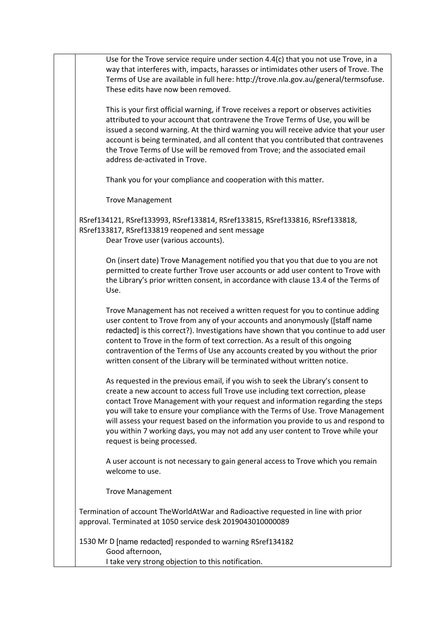Use for the Trove service require under section 4.4(c) that you not use Trove, in a way that interferes with, impacts, harasses or intimidates other users of Trove. The Terms of Use are available in full here: http://trove.nla.gov.au/general/termsofuse. These edits have now been removed.

This is your first official warning, if Trove receives a report or observes activities attributed to your account that contravene the Trove Terms of Use, you will be issued a second warning. At the third warning you will receive advice that your user account is being terminated, and all content that you contributed that contravenes the Trove Terms of Use will be removed from Trove; and the associated email address de-activated in Trove.

Thank you for your compliance and cooperation with this matter.

Trove Management

RSref134121, RSref133993, RSref133814, RSref133815, RSref133816, RSref133818, RSref133817, RSref133819 reopened and sent message Dear Trove user (various accounts).

On (insert date) Trove Management notified you that you that due to you are not permitted to create further Trove user accounts or add user content to Trove with the Library's prior written consent, in accordance with clause 13.4 of the Terms of Use.

Trove Management has not received a written request for you to continue adding user content to Trove from any of your accounts and anonymously ([staff name redacted] is this correct?). Investigations have shown that you continue to add user content to Trove in the form of text correction. As a result of this ongoing contravention of the Terms of Use any accounts created by you without the prior written consent of the Library will be terminated without written notice.

As requested in the previous email, if you wish to seek the Library's consent to create a new account to access full Trove use including text correction, please contact Trove Management with your request and information regarding the steps you will take to ensure your compliance with the Terms of Use. Trove Management will assess your request based on the information you provide to us and respond to you within 7 working days, you may not add any user content to Trove while your request is being processed.

A user account is not necessary to gain general access to Trove which you remain welcome to use.

Trove Management

Termination of account TheWorldAtWar and Radioactive requested in line with prior approval. Terminated at 1050 service desk 2019043010000089

1530 Mr D [name redacted] responded to warning RSref134182 Good afternoon, I take very strong objection to this notification.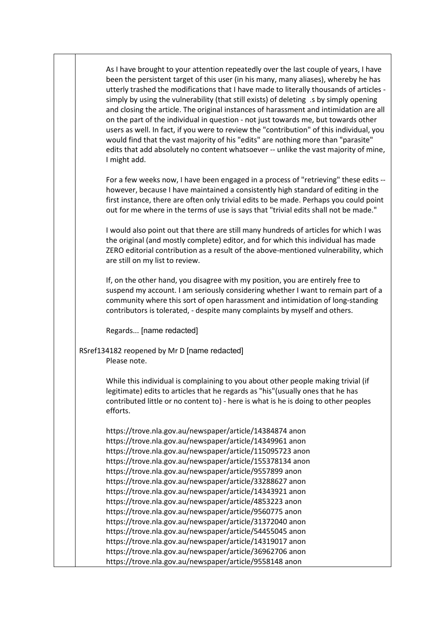As I have brought to your attention repeatedly over the last couple of years, I have been the persistent target of this user (in his many, many aliases), whereby he has utterly trashed the modifications that I have made to literally thousands of articles simply by using the vulnerability (that still exists) of deleting .s by simply opening and closing the article. The original instances of harassment and intimidation are all on the part of the individual in question - not just towards me, but towards other users as well. In fact, if you were to review the "contribution" of this individual, you would find that the vast majority of his "edits" are nothing more than "parasite" edits that add absolutely no content whatsoever -- unlike the vast majority of mine, I might add.

For a few weeks now, I have been engaged in a process of "retrieving" these edits - however, because I have maintained a consistently high standard of editing in the first instance, there are often only trivial edits to be made. Perhaps you could point out for me where in the terms of use is says that "trivial edits shall not be made."

I would also point out that there are still many hundreds of articles for which I was the original (and mostly complete) editor, and for which this individual has made ZERO editorial contribution as a result of the above-mentioned vulnerability, which are still on my list to review.

If, on the other hand, you disagree with my position, you are entirely free to suspend my account. I am seriously considering whether I want to remain part of a community where this sort of open harassment and intimidation of long-standing contributors is tolerated, - despite many complaints by myself and others.

Regards... [name redacted]

RSref134182 reopened by Mr D [name redacted] Please note.

> While this individual is complaining to you about other people making trivial (if legitimate) edits to articles that he regards as "his"(usually ones that he has contributed little or no content to) - here is what is he is doing to other peoples efforts.

https://trove.nla.gov.au/newspaper/article/14384874 anon https://trove.nla.gov.au/newspaper/article/14349961 anon https://trove.nla.gov.au/newspaper/article/115095723 anon https://trove.nla.gov.au/newspaper/article/155378134 anon https://trove.nla.gov.au/newspaper/article/9557899 anon https://trove.nla.gov.au/newspaper/article/33288627 anon https://trove.nla.gov.au/newspaper/article/14343921 anon https://trove.nla.gov.au/newspaper/article/4853223 anon https://trove.nla.gov.au/newspaper/article/9560775 anon https://trove.nla.gov.au/newspaper/article/31372040 anon https://trove.nla.gov.au/newspaper/article/54455045 anon https://trove.nla.gov.au/newspaper/article/14319017 anon https://trove.nla.gov.au/newspaper/article/36962706 anon https://trove.nla.gov.au/newspaper/article/9558148 anon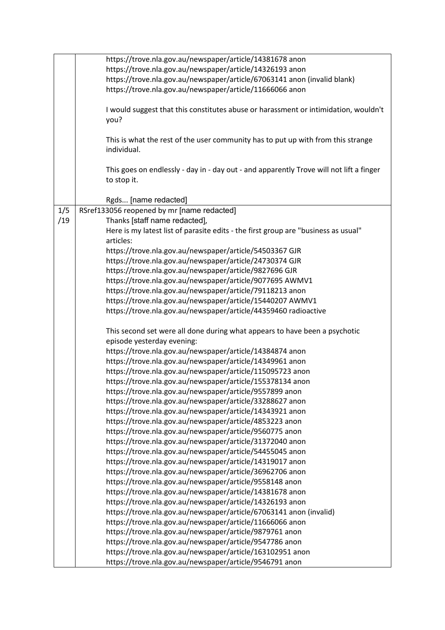| https://trove.nla.gov.au/newspaper/article/14381678 anon<br>https://trove.nla.gov.au/newspaper/article/14326193 anon<br>https://trove.nla.gov.au/newspaper/article/67063141 anon (invalid blank)<br>https://trove.nla.gov.au/newspaper/article/11666066 anon<br>I would suggest that this constitutes abuse or harassment or intimidation, wouldn't<br>you?<br>This is what the rest of the user community has to put up with from this strange<br>individual.<br>This goes on endlessly - day in - day out - and apparently Trove will not lift a finger<br>to stop it.<br>Rgds [name redacted]<br>1/5<br>RSref133056 reopened by mr [name redacted]<br>/19<br>Thanks [staff name redacted],<br>Here is my latest list of parasite edits - the first group are "business as usual"<br>articles:<br>https://trove.nla.gov.au/newspaper/article/54503367 GJR<br>https://trove.nla.gov.au/newspaper/article/24730374 GJR<br>https://trove.nla.gov.au/newspaper/article/9827696 GJR<br>https://trove.nla.gov.au/newspaper/article/9077695 AWMV1<br>https://trove.nla.gov.au/newspaper/article/79118213 anon<br>https://trove.nla.gov.au/newspaper/article/15440207 AWMV1<br>https://trove.nla.gov.au/newspaper/article/44359460 radioactive<br>This second set were all done during what appears to have been a psychotic<br>episode yesterday evening:<br>https://trove.nla.gov.au/newspaper/article/14384874 anon<br>https://trove.nla.gov.au/newspaper/article/14349961 anon<br>https://trove.nla.gov.au/newspaper/article/115095723 anon<br>https://trove.nla.gov.au/newspaper/article/155378134 anon<br>https://trove.nla.gov.au/newspaper/article/9557899 anon<br>https://trove.nla.gov.au/newspaper/article/33288627 anon<br>https://trove.nla.gov.au/newspaper/article/14343921 anon<br>https://trove.nla.gov.au/newspaper/article/4853223 anon<br>https://trove.nla.gov.au/newspaper/article/9560775 anon<br>https://trove.nla.gov.au/newspaper/article/31372040 anon<br>https://trove.nla.gov.au/newspaper/article/54455045 anon |
|-----------------------------------------------------------------------------------------------------------------------------------------------------------------------------------------------------------------------------------------------------------------------------------------------------------------------------------------------------------------------------------------------------------------------------------------------------------------------------------------------------------------------------------------------------------------------------------------------------------------------------------------------------------------------------------------------------------------------------------------------------------------------------------------------------------------------------------------------------------------------------------------------------------------------------------------------------------------------------------------------------------------------------------------------------------------------------------------------------------------------------------------------------------------------------------------------------------------------------------------------------------------------------------------------------------------------------------------------------------------------------------------------------------------------------------------------------------------------------------------------------------------------------------------------------------------------------------------------------------------------------------------------------------------------------------------------------------------------------------------------------------------------------------------------------------------------------------------------------------------------------------------------------------------------------------------------------------------------------------------------------------------------------------------|
|                                                                                                                                                                                                                                                                                                                                                                                                                                                                                                                                                                                                                                                                                                                                                                                                                                                                                                                                                                                                                                                                                                                                                                                                                                                                                                                                                                                                                                                                                                                                                                                                                                                                                                                                                                                                                                                                                                                                                                                                                                         |
|                                                                                                                                                                                                                                                                                                                                                                                                                                                                                                                                                                                                                                                                                                                                                                                                                                                                                                                                                                                                                                                                                                                                                                                                                                                                                                                                                                                                                                                                                                                                                                                                                                                                                                                                                                                                                                                                                                                                                                                                                                         |
|                                                                                                                                                                                                                                                                                                                                                                                                                                                                                                                                                                                                                                                                                                                                                                                                                                                                                                                                                                                                                                                                                                                                                                                                                                                                                                                                                                                                                                                                                                                                                                                                                                                                                                                                                                                                                                                                                                                                                                                                                                         |
|                                                                                                                                                                                                                                                                                                                                                                                                                                                                                                                                                                                                                                                                                                                                                                                                                                                                                                                                                                                                                                                                                                                                                                                                                                                                                                                                                                                                                                                                                                                                                                                                                                                                                                                                                                                                                                                                                                                                                                                                                                         |
|                                                                                                                                                                                                                                                                                                                                                                                                                                                                                                                                                                                                                                                                                                                                                                                                                                                                                                                                                                                                                                                                                                                                                                                                                                                                                                                                                                                                                                                                                                                                                                                                                                                                                                                                                                                                                                                                                                                                                                                                                                         |
|                                                                                                                                                                                                                                                                                                                                                                                                                                                                                                                                                                                                                                                                                                                                                                                                                                                                                                                                                                                                                                                                                                                                                                                                                                                                                                                                                                                                                                                                                                                                                                                                                                                                                                                                                                                                                                                                                                                                                                                                                                         |
|                                                                                                                                                                                                                                                                                                                                                                                                                                                                                                                                                                                                                                                                                                                                                                                                                                                                                                                                                                                                                                                                                                                                                                                                                                                                                                                                                                                                                                                                                                                                                                                                                                                                                                                                                                                                                                                                                                                                                                                                                                         |
|                                                                                                                                                                                                                                                                                                                                                                                                                                                                                                                                                                                                                                                                                                                                                                                                                                                                                                                                                                                                                                                                                                                                                                                                                                                                                                                                                                                                                                                                                                                                                                                                                                                                                                                                                                                                                                                                                                                                                                                                                                         |
|                                                                                                                                                                                                                                                                                                                                                                                                                                                                                                                                                                                                                                                                                                                                                                                                                                                                                                                                                                                                                                                                                                                                                                                                                                                                                                                                                                                                                                                                                                                                                                                                                                                                                                                                                                                                                                                                                                                                                                                                                                         |
|                                                                                                                                                                                                                                                                                                                                                                                                                                                                                                                                                                                                                                                                                                                                                                                                                                                                                                                                                                                                                                                                                                                                                                                                                                                                                                                                                                                                                                                                                                                                                                                                                                                                                                                                                                                                                                                                                                                                                                                                                                         |
|                                                                                                                                                                                                                                                                                                                                                                                                                                                                                                                                                                                                                                                                                                                                                                                                                                                                                                                                                                                                                                                                                                                                                                                                                                                                                                                                                                                                                                                                                                                                                                                                                                                                                                                                                                                                                                                                                                                                                                                                                                         |
|                                                                                                                                                                                                                                                                                                                                                                                                                                                                                                                                                                                                                                                                                                                                                                                                                                                                                                                                                                                                                                                                                                                                                                                                                                                                                                                                                                                                                                                                                                                                                                                                                                                                                                                                                                                                                                                                                                                                                                                                                                         |
|                                                                                                                                                                                                                                                                                                                                                                                                                                                                                                                                                                                                                                                                                                                                                                                                                                                                                                                                                                                                                                                                                                                                                                                                                                                                                                                                                                                                                                                                                                                                                                                                                                                                                                                                                                                                                                                                                                                                                                                                                                         |
|                                                                                                                                                                                                                                                                                                                                                                                                                                                                                                                                                                                                                                                                                                                                                                                                                                                                                                                                                                                                                                                                                                                                                                                                                                                                                                                                                                                                                                                                                                                                                                                                                                                                                                                                                                                                                                                                                                                                                                                                                                         |
|                                                                                                                                                                                                                                                                                                                                                                                                                                                                                                                                                                                                                                                                                                                                                                                                                                                                                                                                                                                                                                                                                                                                                                                                                                                                                                                                                                                                                                                                                                                                                                                                                                                                                                                                                                                                                                                                                                                                                                                                                                         |
|                                                                                                                                                                                                                                                                                                                                                                                                                                                                                                                                                                                                                                                                                                                                                                                                                                                                                                                                                                                                                                                                                                                                                                                                                                                                                                                                                                                                                                                                                                                                                                                                                                                                                                                                                                                                                                                                                                                                                                                                                                         |
|                                                                                                                                                                                                                                                                                                                                                                                                                                                                                                                                                                                                                                                                                                                                                                                                                                                                                                                                                                                                                                                                                                                                                                                                                                                                                                                                                                                                                                                                                                                                                                                                                                                                                                                                                                                                                                                                                                                                                                                                                                         |
|                                                                                                                                                                                                                                                                                                                                                                                                                                                                                                                                                                                                                                                                                                                                                                                                                                                                                                                                                                                                                                                                                                                                                                                                                                                                                                                                                                                                                                                                                                                                                                                                                                                                                                                                                                                                                                                                                                                                                                                                                                         |
|                                                                                                                                                                                                                                                                                                                                                                                                                                                                                                                                                                                                                                                                                                                                                                                                                                                                                                                                                                                                                                                                                                                                                                                                                                                                                                                                                                                                                                                                                                                                                                                                                                                                                                                                                                                                                                                                                                                                                                                                                                         |
|                                                                                                                                                                                                                                                                                                                                                                                                                                                                                                                                                                                                                                                                                                                                                                                                                                                                                                                                                                                                                                                                                                                                                                                                                                                                                                                                                                                                                                                                                                                                                                                                                                                                                                                                                                                                                                                                                                                                                                                                                                         |
|                                                                                                                                                                                                                                                                                                                                                                                                                                                                                                                                                                                                                                                                                                                                                                                                                                                                                                                                                                                                                                                                                                                                                                                                                                                                                                                                                                                                                                                                                                                                                                                                                                                                                                                                                                                                                                                                                                                                                                                                                                         |
|                                                                                                                                                                                                                                                                                                                                                                                                                                                                                                                                                                                                                                                                                                                                                                                                                                                                                                                                                                                                                                                                                                                                                                                                                                                                                                                                                                                                                                                                                                                                                                                                                                                                                                                                                                                                                                                                                                                                                                                                                                         |
|                                                                                                                                                                                                                                                                                                                                                                                                                                                                                                                                                                                                                                                                                                                                                                                                                                                                                                                                                                                                                                                                                                                                                                                                                                                                                                                                                                                                                                                                                                                                                                                                                                                                                                                                                                                                                                                                                                                                                                                                                                         |
|                                                                                                                                                                                                                                                                                                                                                                                                                                                                                                                                                                                                                                                                                                                                                                                                                                                                                                                                                                                                                                                                                                                                                                                                                                                                                                                                                                                                                                                                                                                                                                                                                                                                                                                                                                                                                                                                                                                                                                                                                                         |
|                                                                                                                                                                                                                                                                                                                                                                                                                                                                                                                                                                                                                                                                                                                                                                                                                                                                                                                                                                                                                                                                                                                                                                                                                                                                                                                                                                                                                                                                                                                                                                                                                                                                                                                                                                                                                                                                                                                                                                                                                                         |
|                                                                                                                                                                                                                                                                                                                                                                                                                                                                                                                                                                                                                                                                                                                                                                                                                                                                                                                                                                                                                                                                                                                                                                                                                                                                                                                                                                                                                                                                                                                                                                                                                                                                                                                                                                                                                                                                                                                                                                                                                                         |
|                                                                                                                                                                                                                                                                                                                                                                                                                                                                                                                                                                                                                                                                                                                                                                                                                                                                                                                                                                                                                                                                                                                                                                                                                                                                                                                                                                                                                                                                                                                                                                                                                                                                                                                                                                                                                                                                                                                                                                                                                                         |
|                                                                                                                                                                                                                                                                                                                                                                                                                                                                                                                                                                                                                                                                                                                                                                                                                                                                                                                                                                                                                                                                                                                                                                                                                                                                                                                                                                                                                                                                                                                                                                                                                                                                                                                                                                                                                                                                                                                                                                                                                                         |
|                                                                                                                                                                                                                                                                                                                                                                                                                                                                                                                                                                                                                                                                                                                                                                                                                                                                                                                                                                                                                                                                                                                                                                                                                                                                                                                                                                                                                                                                                                                                                                                                                                                                                                                                                                                                                                                                                                                                                                                                                                         |
|                                                                                                                                                                                                                                                                                                                                                                                                                                                                                                                                                                                                                                                                                                                                                                                                                                                                                                                                                                                                                                                                                                                                                                                                                                                                                                                                                                                                                                                                                                                                                                                                                                                                                                                                                                                                                                                                                                                                                                                                                                         |
|                                                                                                                                                                                                                                                                                                                                                                                                                                                                                                                                                                                                                                                                                                                                                                                                                                                                                                                                                                                                                                                                                                                                                                                                                                                                                                                                                                                                                                                                                                                                                                                                                                                                                                                                                                                                                                                                                                                                                                                                                                         |
|                                                                                                                                                                                                                                                                                                                                                                                                                                                                                                                                                                                                                                                                                                                                                                                                                                                                                                                                                                                                                                                                                                                                                                                                                                                                                                                                                                                                                                                                                                                                                                                                                                                                                                                                                                                                                                                                                                                                                                                                                                         |
|                                                                                                                                                                                                                                                                                                                                                                                                                                                                                                                                                                                                                                                                                                                                                                                                                                                                                                                                                                                                                                                                                                                                                                                                                                                                                                                                                                                                                                                                                                                                                                                                                                                                                                                                                                                                                                                                                                                                                                                                                                         |
|                                                                                                                                                                                                                                                                                                                                                                                                                                                                                                                                                                                                                                                                                                                                                                                                                                                                                                                                                                                                                                                                                                                                                                                                                                                                                                                                                                                                                                                                                                                                                                                                                                                                                                                                                                                                                                                                                                                                                                                                                                         |
|                                                                                                                                                                                                                                                                                                                                                                                                                                                                                                                                                                                                                                                                                                                                                                                                                                                                                                                                                                                                                                                                                                                                                                                                                                                                                                                                                                                                                                                                                                                                                                                                                                                                                                                                                                                                                                                                                                                                                                                                                                         |
|                                                                                                                                                                                                                                                                                                                                                                                                                                                                                                                                                                                                                                                                                                                                                                                                                                                                                                                                                                                                                                                                                                                                                                                                                                                                                                                                                                                                                                                                                                                                                                                                                                                                                                                                                                                                                                                                                                                                                                                                                                         |
|                                                                                                                                                                                                                                                                                                                                                                                                                                                                                                                                                                                                                                                                                                                                                                                                                                                                                                                                                                                                                                                                                                                                                                                                                                                                                                                                                                                                                                                                                                                                                                                                                                                                                                                                                                                                                                                                                                                                                                                                                                         |
|                                                                                                                                                                                                                                                                                                                                                                                                                                                                                                                                                                                                                                                                                                                                                                                                                                                                                                                                                                                                                                                                                                                                                                                                                                                                                                                                                                                                                                                                                                                                                                                                                                                                                                                                                                                                                                                                                                                                                                                                                                         |
|                                                                                                                                                                                                                                                                                                                                                                                                                                                                                                                                                                                                                                                                                                                                                                                                                                                                                                                                                                                                                                                                                                                                                                                                                                                                                                                                                                                                                                                                                                                                                                                                                                                                                                                                                                                                                                                                                                                                                                                                                                         |
|                                                                                                                                                                                                                                                                                                                                                                                                                                                                                                                                                                                                                                                                                                                                                                                                                                                                                                                                                                                                                                                                                                                                                                                                                                                                                                                                                                                                                                                                                                                                                                                                                                                                                                                                                                                                                                                                                                                                                                                                                                         |
|                                                                                                                                                                                                                                                                                                                                                                                                                                                                                                                                                                                                                                                                                                                                                                                                                                                                                                                                                                                                                                                                                                                                                                                                                                                                                                                                                                                                                                                                                                                                                                                                                                                                                                                                                                                                                                                                                                                                                                                                                                         |
| https://trove.nla.gov.au/newspaper/article/14319017 anon                                                                                                                                                                                                                                                                                                                                                                                                                                                                                                                                                                                                                                                                                                                                                                                                                                                                                                                                                                                                                                                                                                                                                                                                                                                                                                                                                                                                                                                                                                                                                                                                                                                                                                                                                                                                                                                                                                                                                                                |
| https://trove.nla.gov.au/newspaper/article/36962706 anon                                                                                                                                                                                                                                                                                                                                                                                                                                                                                                                                                                                                                                                                                                                                                                                                                                                                                                                                                                                                                                                                                                                                                                                                                                                                                                                                                                                                                                                                                                                                                                                                                                                                                                                                                                                                                                                                                                                                                                                |
| https://trove.nla.gov.au/newspaper/article/9558148 anon                                                                                                                                                                                                                                                                                                                                                                                                                                                                                                                                                                                                                                                                                                                                                                                                                                                                                                                                                                                                                                                                                                                                                                                                                                                                                                                                                                                                                                                                                                                                                                                                                                                                                                                                                                                                                                                                                                                                                                                 |
| https://trove.nla.gov.au/newspaper/article/14381678 anon                                                                                                                                                                                                                                                                                                                                                                                                                                                                                                                                                                                                                                                                                                                                                                                                                                                                                                                                                                                                                                                                                                                                                                                                                                                                                                                                                                                                                                                                                                                                                                                                                                                                                                                                                                                                                                                                                                                                                                                |
| https://trove.nla.gov.au/newspaper/article/14326193 anon                                                                                                                                                                                                                                                                                                                                                                                                                                                                                                                                                                                                                                                                                                                                                                                                                                                                                                                                                                                                                                                                                                                                                                                                                                                                                                                                                                                                                                                                                                                                                                                                                                                                                                                                                                                                                                                                                                                                                                                |
| https://trove.nla.gov.au/newspaper/article/67063141 anon (invalid)                                                                                                                                                                                                                                                                                                                                                                                                                                                                                                                                                                                                                                                                                                                                                                                                                                                                                                                                                                                                                                                                                                                                                                                                                                                                                                                                                                                                                                                                                                                                                                                                                                                                                                                                                                                                                                                                                                                                                                      |
| https://trove.nla.gov.au/newspaper/article/11666066 anon                                                                                                                                                                                                                                                                                                                                                                                                                                                                                                                                                                                                                                                                                                                                                                                                                                                                                                                                                                                                                                                                                                                                                                                                                                                                                                                                                                                                                                                                                                                                                                                                                                                                                                                                                                                                                                                                                                                                                                                |
| https://trove.nla.gov.au/newspaper/article/9879761 anon                                                                                                                                                                                                                                                                                                                                                                                                                                                                                                                                                                                                                                                                                                                                                                                                                                                                                                                                                                                                                                                                                                                                                                                                                                                                                                                                                                                                                                                                                                                                                                                                                                                                                                                                                                                                                                                                                                                                                                                 |
| https://trove.nla.gov.au/newspaper/article/9547786 anon                                                                                                                                                                                                                                                                                                                                                                                                                                                                                                                                                                                                                                                                                                                                                                                                                                                                                                                                                                                                                                                                                                                                                                                                                                                                                                                                                                                                                                                                                                                                                                                                                                                                                                                                                                                                                                                                                                                                                                                 |
| https://trove.nla.gov.au/newspaper/article/163102951 anon                                                                                                                                                                                                                                                                                                                                                                                                                                                                                                                                                                                                                                                                                                                                                                                                                                                                                                                                                                                                                                                                                                                                                                                                                                                                                                                                                                                                                                                                                                                                                                                                                                                                                                                                                                                                                                                                                                                                                                               |
| https://trove.nla.gov.au/newspaper/article/9546791 anon                                                                                                                                                                                                                                                                                                                                                                                                                                                                                                                                                                                                                                                                                                                                                                                                                                                                                                                                                                                                                                                                                                                                                                                                                                                                                                                                                                                                                                                                                                                                                                                                                                                                                                                                                                                                                                                                                                                                                                                 |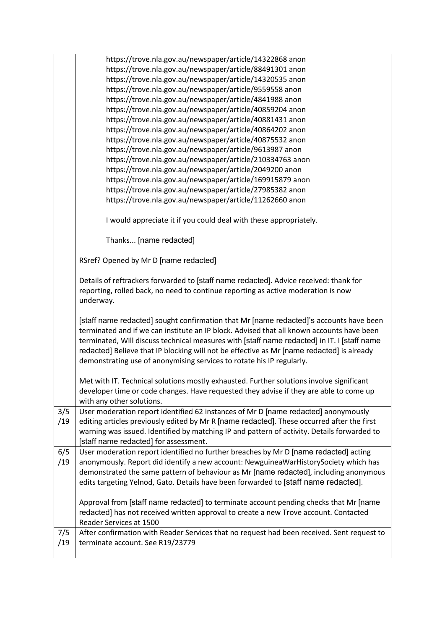|     | https://trove.nla.gov.au/newspaper/article/14322868 anon                                                                                                                                                                                                                                                                                                                                                                                                 |
|-----|----------------------------------------------------------------------------------------------------------------------------------------------------------------------------------------------------------------------------------------------------------------------------------------------------------------------------------------------------------------------------------------------------------------------------------------------------------|
|     | https://trove.nla.gov.au/newspaper/article/88491301 anon                                                                                                                                                                                                                                                                                                                                                                                                 |
|     | https://trove.nla.gov.au/newspaper/article/14320535 anon                                                                                                                                                                                                                                                                                                                                                                                                 |
|     | https://trove.nla.gov.au/newspaper/article/9559558 anon                                                                                                                                                                                                                                                                                                                                                                                                  |
|     | https://trove.nla.gov.au/newspaper/article/4841988 anon                                                                                                                                                                                                                                                                                                                                                                                                  |
|     | https://trove.nla.gov.au/newspaper/article/40859204 anon                                                                                                                                                                                                                                                                                                                                                                                                 |
|     | https://trove.nla.gov.au/newspaper/article/40881431 anon                                                                                                                                                                                                                                                                                                                                                                                                 |
|     | https://trove.nla.gov.au/newspaper/article/40864202 anon                                                                                                                                                                                                                                                                                                                                                                                                 |
|     | https://trove.nla.gov.au/newspaper/article/40875532 anon                                                                                                                                                                                                                                                                                                                                                                                                 |
|     | https://trove.nla.gov.au/newspaper/article/9613987 anon                                                                                                                                                                                                                                                                                                                                                                                                  |
|     | https://trove.nla.gov.au/newspaper/article/210334763 anon                                                                                                                                                                                                                                                                                                                                                                                                |
|     | https://trove.nla.gov.au/newspaper/article/2049200 anon                                                                                                                                                                                                                                                                                                                                                                                                  |
|     | https://trove.nla.gov.au/newspaper/article/169915879 anon                                                                                                                                                                                                                                                                                                                                                                                                |
|     | https://trove.nla.gov.au/newspaper/article/27985382 anon                                                                                                                                                                                                                                                                                                                                                                                                 |
|     | https://trove.nla.gov.au/newspaper/article/11262660 anon                                                                                                                                                                                                                                                                                                                                                                                                 |
|     | I would appreciate it if you could deal with these appropriately.                                                                                                                                                                                                                                                                                                                                                                                        |
|     | Thanks [name redacted]                                                                                                                                                                                                                                                                                                                                                                                                                                   |
|     | RSref? Opened by Mr D [name redacted]                                                                                                                                                                                                                                                                                                                                                                                                                    |
|     | Details of reftrackers forwarded to [staff name redacted]. Advice received: thank for<br>reporting, rolled back, no need to continue reporting as active moderation is now<br>underway.                                                                                                                                                                                                                                                                  |
|     | [staff name redacted] sought confirmation that Mr [name redacted]'s accounts have been<br>terminated and if we can institute an IP block. Advised that all known accounts have been<br>terminated, Will discuss technical measures with [staff name redacted] in IT. I [staff name<br>redacted] Believe that IP blocking will not be effective as Mr [name redacted] is already<br>demonstrating use of anonymising services to rotate his IP regularly. |
|     | Met with IT. Technical solutions mostly exhausted. Further solutions involve significant                                                                                                                                                                                                                                                                                                                                                                 |
|     | developer time or code changes. Have requested they advise if they are able to come up<br>with any other solutions.                                                                                                                                                                                                                                                                                                                                      |
| 3/5 | User moderation report identified 62 instances of Mr D [name redacted] anonymously                                                                                                                                                                                                                                                                                                                                                                       |
| /19 | editing articles previously edited by Mr R [name redacted]. These occurred after the first                                                                                                                                                                                                                                                                                                                                                               |
|     | warning was issued. Identified by matching IP and pattern of activity. Details forwarded to                                                                                                                                                                                                                                                                                                                                                              |
|     | [staff name redacted] for assessment.                                                                                                                                                                                                                                                                                                                                                                                                                    |
| 6/5 | User moderation report identified no further breaches by Mr D [name redacted] acting                                                                                                                                                                                                                                                                                                                                                                     |
| /19 | anonymously. Report did identify a new account: NewguineaWarHistorySociety which has                                                                                                                                                                                                                                                                                                                                                                     |
|     | demonstrated the same pattern of behaviour as Mr [name redacted], including anonymous                                                                                                                                                                                                                                                                                                                                                                    |
|     | edits targeting Yelnod, Gato. Details have been forwarded to [staff name redacted].                                                                                                                                                                                                                                                                                                                                                                      |
|     | Approval from [staff name redacted] to terminate account pending checks that Mr [name                                                                                                                                                                                                                                                                                                                                                                    |
|     | redacted] has not received written approval to create a new Trove account. Contacted                                                                                                                                                                                                                                                                                                                                                                     |
|     | Reader Services at 1500                                                                                                                                                                                                                                                                                                                                                                                                                                  |
| 7/5 | After confirmation with Reader Services that no request had been received. Sent request to                                                                                                                                                                                                                                                                                                                                                               |
| /19 | terminate account. See R19/23779                                                                                                                                                                                                                                                                                                                                                                                                                         |
|     |                                                                                                                                                                                                                                                                                                                                                                                                                                                          |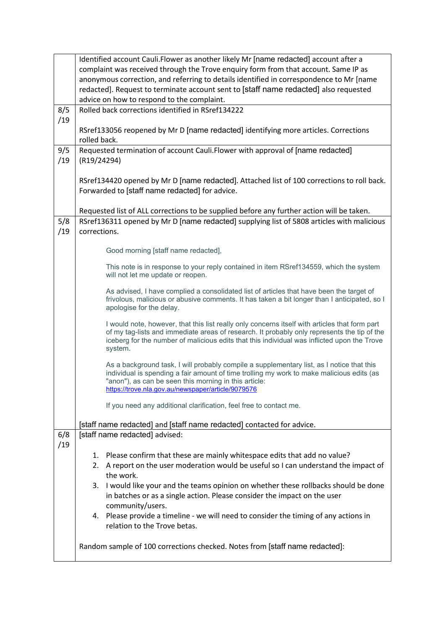|     | Identified account Cauli. Flower as another likely Mr [name redacted] account after a          |  |  |
|-----|------------------------------------------------------------------------------------------------|--|--|
|     | complaint was received through the Trove enquiry form from that account. Same IP as            |  |  |
|     | anonymous correction, and referring to details identified in correspondence to Mr [name        |  |  |
|     | redacted]. Request to terminate account sent to [staff name redacted] also requested           |  |  |
|     | advice on how to respond to the complaint.                                                     |  |  |
| 8/5 | Rolled back corrections identified in RSref134222                                              |  |  |
| /19 |                                                                                                |  |  |
|     | RSref133056 reopened by Mr D [name redacted] identifying more articles. Corrections            |  |  |
|     | rolled back.                                                                                   |  |  |
| 9/5 | Requested termination of account Cauli. Flower with approval of [name redacted]                |  |  |
| /19 | (R19/24294)                                                                                    |  |  |
|     |                                                                                                |  |  |
|     |                                                                                                |  |  |
|     | RSref134420 opened by Mr D [name redacted]. Attached list of 100 corrections to roll back.     |  |  |
|     | Forwarded to [staff name redacted] for advice.                                                 |  |  |
|     |                                                                                                |  |  |
|     | Requested list of ALL corrections to be supplied before any further action will be taken.      |  |  |
| 5/8 | RSref136311 opened by Mr D [name redacted] supplying list of 5808 articles with malicious      |  |  |
| /19 | corrections.                                                                                   |  |  |
|     |                                                                                                |  |  |
|     | Good morning [staff name redacted],                                                            |  |  |
|     | This note is in response to your reply contained in item RSref134559, which the system         |  |  |
|     | will not let me update or reopen.                                                              |  |  |
|     |                                                                                                |  |  |
|     | As advised, I have complied a consolidated list of articles that have been the target of       |  |  |
|     | frivolous, malicious or abusive comments. It has taken a bit longer than I anticipated, so I   |  |  |
|     | apologise for the delay.                                                                       |  |  |
|     | I would note, however, that this list really only concerns itself with articles that form part |  |  |
|     | of my tag-lists and immediate areas of research. It probably only represents the tip of the    |  |  |
|     | iceberg for the number of malicious edits that this individual was inflicted upon the Trove    |  |  |
|     | system.                                                                                        |  |  |
|     | As a background task, I will probably compile a supplementary list, as I notice that this      |  |  |
|     | individual is spending a fair amount of time trolling my work to make malicious edits (as      |  |  |
|     | "anon"), as can be seen this morning in this article:                                          |  |  |
|     | https://trove.nla.gov.au/newspaper/article/9079576                                             |  |  |
|     |                                                                                                |  |  |
|     | If you need any additional clarification, feel free to contact me.                             |  |  |
|     |                                                                                                |  |  |
|     | [staff name redacted] and [staff name redacted] contacted for advice.                          |  |  |
| 6/8 | [staff name redacted] advised:                                                                 |  |  |
| /19 |                                                                                                |  |  |
|     | Please confirm that these are mainly whitespace edits that add no value?<br>1.                 |  |  |
|     | A report on the user moderation would be useful so I can understand the impact of<br>2.        |  |  |
|     | the work.                                                                                      |  |  |
|     | 3. I would like your and the teams opinion on whether these rollbacks should be done           |  |  |
|     | in batches or as a single action. Please consider the impact on the user                       |  |  |
|     | community/users.                                                                               |  |  |
|     | Please provide a timeline - we will need to consider the timing of any actions in<br>4.        |  |  |
|     | relation to the Trove betas.                                                                   |  |  |
|     |                                                                                                |  |  |
|     | Random sample of 100 corrections checked. Notes from [staff name redacted]:                    |  |  |
|     |                                                                                                |  |  |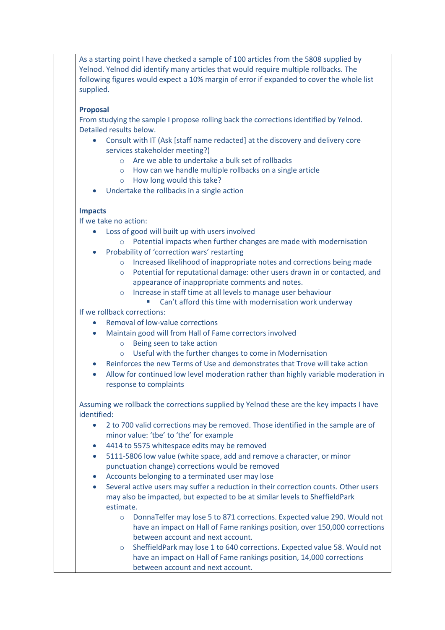As a starting point I have checked a sample of 100 articles from the 5808 supplied by Yelnod. Yelnod did identify many articles that would require multiple rollbacks. The following figures would expect a 10% margin of error if expanded to cover the whole list supplied.

### **Proposal**

From studying the sample I propose rolling back the corrections identified by Yelnod. Detailed results below.

- Consult with IT (Ask [staff name redacted] at the discovery and delivery core services stakeholder meeting?)
	- o Are we able to undertake a bulk set of rollbacks
	- o How can we handle multiple rollbacks on a single article
	- o How long would this take?
- Undertake the rollbacks in a single action

## **Impacts**

If we take no action:

- Loss of good will built up with users involved
	- o Potential impacts when further changes are made with modernisation
- Probability of 'correction wars' restarting
	- o Increased likelihood of inappropriate notes and corrections being made
	- o Potential for reputational damage: other users drawn in or contacted, and appearance of inappropriate comments and notes.
	- o Increase in staff time at all levels to manage user behaviour
		- Can't afford this time with modernisation work underway

If we rollback corrections:

- Removal of low-value corrections
- Maintain good will from Hall of Fame correctors involved
	- o Being seen to take action
	- o Useful with the further changes to come in Modernisation
	- Reinforces the new Terms of Use and demonstrates that Trove will take action
- Allow for continued low level moderation rather than highly variable moderation in response to complaints

Assuming we rollback the corrections supplied by Yelnod these are the key impacts I have identified:

- 2 to 700 valid corrections may be removed. Those identified in the sample are of minor value: 'tbe' to 'the' for example
- 4414 to 5575 whitespace edits may be removed
- 5111-5806 low value (white space, add and remove a character, or minor punctuation change) corrections would be removed
- Accounts belonging to a terminated user may lose
- Several active users may suffer a reduction in their correction counts. Other users may also be impacted, but expected to be at similar levels to SheffieldPark estimate.
	- o DonnaTelfer may lose 5 to 871 corrections. Expected value 290. Would not have an impact on Hall of Fame rankings position, over 150,000 corrections between account and next account.
	- $\circ$  SheffieldPark may lose 1 to 640 corrections. Expected value 58. Would not have an impact on Hall of Fame rankings position, 14,000 corrections between account and next account.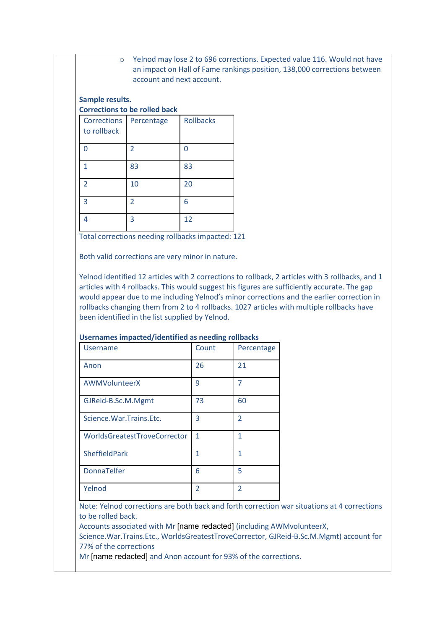o Yelnod may lose 2 to 696 corrections. Expected value 116. Would not have an impact on Hall of Fame rankings position, 138,000 corrections between account and next account.

#### **Sample results. Corrections to be rolled back**

| <b>Corrections</b><br>to rollback | Percentage     | <b>Rollbacks</b> |
|-----------------------------------|----------------|------------------|
| በ                                 | $\overline{2}$ |                  |
| 1                                 | 83             | 83               |
| $\overline{2}$                    | 10             | 20               |
| 3                                 | $\overline{2}$ | 6                |
|                                   | 3              | 12               |

Total corrections needing rollbacks impacted: 121

Both valid corrections are very minor in nature.

Yelnod identified 12 articles with 2 corrections to rollback, 2 articles with 3 rollbacks, and 1 articles with 4 rollbacks. This would suggest his figures are sufficiently accurate. The gap would appear due to me including Yelnod's minor corrections and the earlier correction in rollbacks changing them from 2 to 4 rollbacks. 1027 articles with multiple rollbacks have been identified in the list supplied by Yelnod.

| <b>Username</b>              | Count                    | Percentage               |
|------------------------------|--------------------------|--------------------------|
| Anon                         | 26                       | 21                       |
| AWMVolunteerX                | 9                        | 7                        |
| GJReid-B.Sc.M.Mgmt           | 73                       | 60                       |
| Science. War. Trains. Etc.   | 3                        | $\overline{\phantom{a}}$ |
| WorldsGreatestTroveCorrector | 1                        | 1                        |
| <b>SheffieldPark</b>         | 1                        | 1                        |
| <b>DonnaTelfer</b>           | 6                        | 5                        |
| Yelnod                       | $\overline{\phantom{a}}$ | $\mathfrak z$            |

#### **Usernames impacted/identified as needing rollbacks**

Note: Yelnod corrections are both back and forth correction war situations at 4 corrections to be rolled back.

Accounts associated with Mr [name redacted] (including AWMvolunteerX,

Science.War.Trains.Etc., WorldsGreatestTroveCorrector, GJReid-B.Sc.M.Mgmt) account for 77% of the corrections

Mr [name redacted] and Anon account for 93% of the corrections.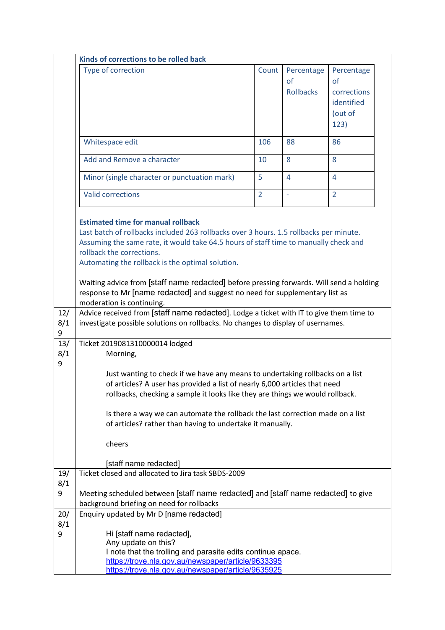|                 | Kinds of corrections to be rolled back                                                                                                                                                                                                                                                                                                                                                                                                                                                                               |                |                                      |                                                                  |
|-----------------|----------------------------------------------------------------------------------------------------------------------------------------------------------------------------------------------------------------------------------------------------------------------------------------------------------------------------------------------------------------------------------------------------------------------------------------------------------------------------------------------------------------------|----------------|--------------------------------------|------------------------------------------------------------------|
|                 | Type of correction                                                                                                                                                                                                                                                                                                                                                                                                                                                                                                   | Count          | Percentage<br>of<br><b>Rollbacks</b> | Percentage<br>of<br>corrections<br>identified<br>(out of<br>123) |
|                 | Whitespace edit                                                                                                                                                                                                                                                                                                                                                                                                                                                                                                      | 106            | 88                                   | 86                                                               |
|                 | Add and Remove a character                                                                                                                                                                                                                                                                                                                                                                                                                                                                                           | 10             | 8                                    | 8                                                                |
|                 | Minor (single character or punctuation mark)                                                                                                                                                                                                                                                                                                                                                                                                                                                                         | 5              | $\overline{4}$                       | $\overline{4}$                                                   |
|                 | <b>Valid corrections</b>                                                                                                                                                                                                                                                                                                                                                                                                                                                                                             | $\overline{2}$ | ÷,                                   | $\overline{2}$                                                   |
|                 | <b>Estimated time for manual rollback</b><br>Last batch of rollbacks included 263 rollbacks over 3 hours. 1.5 rollbacks per minute.<br>Assuming the same rate, it would take 64.5 hours of staff time to manually check and<br>rollback the corrections.<br>Automating the rollback is the optimal solution.<br>Waiting advice from [staff name redacted] before pressing forwards. Will send a holding<br>response to Mr [name redacted] and suggest no need for supplementary list as<br>moderation is continuing. |                |                                      |                                                                  |
| 12/<br>8/1<br>9 | Advice received from [staff name redacted]. Lodge a ticket with IT to give them time to<br>investigate possible solutions on rollbacks. No changes to display of usernames.                                                                                                                                                                                                                                                                                                                                          |                |                                      |                                                                  |
| 13/<br>8/1<br>9 | Ticket 2019081310000014 lodged<br>Morning,<br>Just wanting to check if we have any means to undertaking rollbacks on a list<br>of articles? A user has provided a list of nearly 6,000 articles that need<br>rollbacks, checking a sample it looks like they are things we would rollback.<br>Is there a way we can automate the rollback the last correction made on a list<br>of articles? rather than having to undertake it manually.<br>cheers                                                                  |                |                                      |                                                                  |
| 19/             | [staff name redacted]<br>Ticket closed and allocated to Jira task SBDS-2009                                                                                                                                                                                                                                                                                                                                                                                                                                          |                |                                      |                                                                  |
| 8/1<br>9        | Meeting scheduled between [staff name redacted] and [staff name redacted] to give<br>background briefing on need for rollbacks                                                                                                                                                                                                                                                                                                                                                                                       |                |                                      |                                                                  |
| 20/<br>8/1<br>9 | Enquiry updated by Mr D [name redacted]<br>Hi [staff name redacted],<br>Any update on this?<br>I note that the trolling and parasite edits continue apace.<br>https://trove.nla.gov.au/newspaper/article/9633395<br>https://trove.nla.gov.au/newspaper/article/9635925                                                                                                                                                                                                                                               |                |                                      |                                                                  |